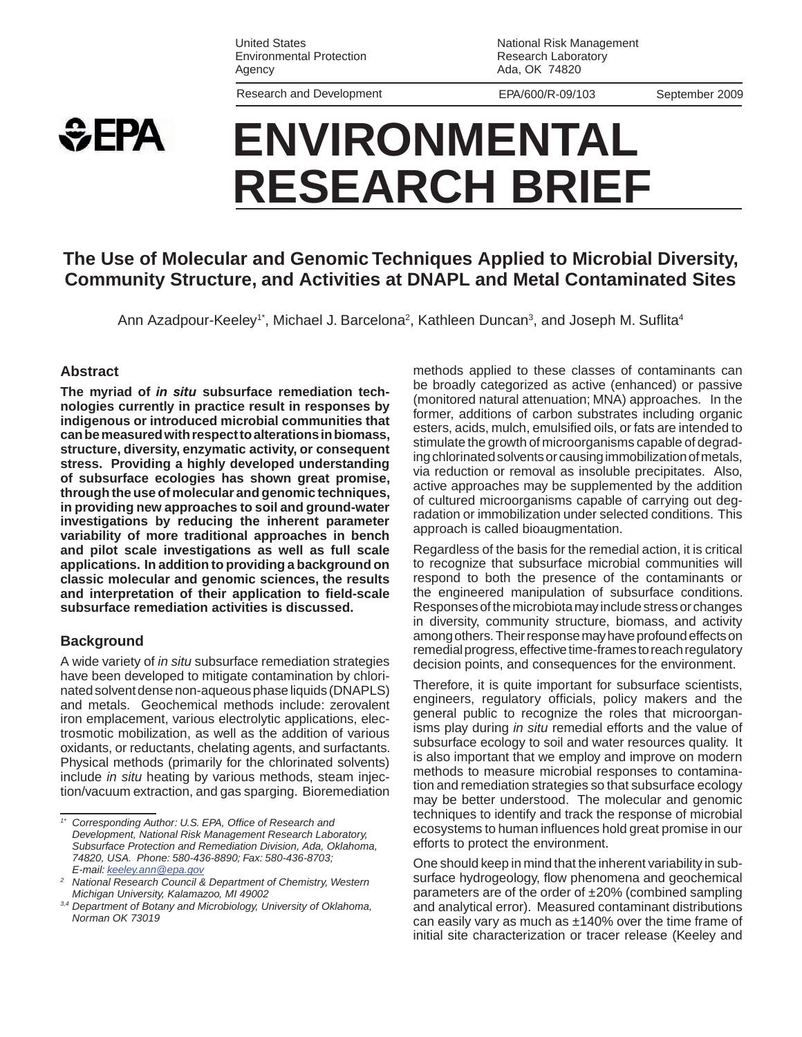United States Environmental Protection Agency

Research and Development EPA/600/R-09/103 September 2009

National Risk Management Research Laboratory Ada, OK 74820

# **SEPA ENVIRONMENTAL RESEARCH BRIEF**

## **The Use of Molecular and Genomic Techniques Applied to Microbial Diversity, Community Structure, and Activities at DNAPL and Metal Contaminated Sites**

Ann Azadpour-Keeley<sup>1\*</sup>, Michael J. Barcelona<sup>2</sup>, Kathleen Duncan<sup>3</sup>, and Joseph M. Suflita<sup>4</sup>

#### **Abstract**

**The myriad of** *in situ* **subsurface remediation technologies currently in practice result in responses by indigenous or introduced microbial communities that can be measured with respect to alterations in biomass, structure, diversity, enzymatic activity, or consequent stress. Providing a highly developed understanding of subsurface ecologies has shown great promise, through the use of molecular and genomic techniques, in providing new approaches to soil and ground-water investigations by reducing the inherent parameter variability of more traditional approaches in bench and pilot scale investigations as well as full scale applications. In addition to providing a background on classic molecular and genomic sciences, the results and interpretation of their application to field-scale subsurface remediation activities is discussed.** 

#### **Background**

A wide variety of *in situ* subsurface remediation strategies have been developed to mitigate contamination by chlorinated solvent dense non-aqueous phase liquids (DNAPLS) and metals. Geochemical methods include: zerovalent iron emplacement, various electrolytic applications, electrosmotic mobilization, as well as the addition of various oxidants, or reductants, chelating agents, and surfactants. Physical methods (primarily for the chlorinated solvents) include *in situ* heating by various methods, steam injection/vacuum extraction, and gas sparging. Bioremediation

 radation or immobilization under selected conditions. This methods applied to these classes of contaminants can be broadly categorized as active (enhanced) or passive (monitored natural attenuation; MNA) approaches. In the former, additions of carbon substrates including organic esters, acids, mulch, emulsified oils, or fats are intended to stimulate the growth of microorganisms capable of degrading chlorinated solvents or causing immobilization of metals, via reduction or removal as insoluble precipitates. Also, active approaches may be supplemented by the addition of cultured microorganisms capable of carrying out degapproach is called bioaugmentation.

 among others. Their response may have profound effects on Regardless of the basis for the remedial action, it is critical to recognize that subsurface microbial communities will respond to both the presence of the contaminants or the engineered manipulation of subsurface conditions. Responses of the microbiota may include stress or changes in diversity, community structure, biomass, and activity remedial progress, effective time-frames to reach regulatory decision points, and consequences for the environment.

 may be better understood. The molecular and genomic efforts to protect the environment. Therefore, it is quite important for subsurface scientists, engineers, regulatory officials, policy makers and the general public to recognize the roles that microorganisms play during *in situ* remedial efforts and the value of subsurface ecology to soil and water resources quality. It is also important that we employ and improve on modern methods to measure microbial responses to contamination and remediation strategies so that subsurface ecology techniques to identify and track the response of microbial ecosystems to human influences hold great promise in our

One should keep in mind that the inherent variability in subsurface hydrogeology, flow phenomena and geochemical parameters are of the order of ±20% (combined sampling and analytical error). Measured contaminant distributions can easily vary as much as  $\pm$ 140% over the time frame of initial site characterization or tracer release (Keeley and

 *74820, USA. Phone: 580-436-8890; Fax: 580-436-8703;*  E-mail: keeley.ann@epa.gov *1\* Corresponding Author: U.S. EPA, Office of Research and Development, National Risk Management Research Laboratory, Subsurface Protection and Remediation Division, Ada, Oklahoma,* 

*E-mail: keeley.ann@epa.gov National Research Council & Department of Chemistry, Western 2* 

 *Michigan University, Kalamazoo, MI 49002 3,4 Department of Botany and Microbiology, University of Oklahoma, Norman OK 73019*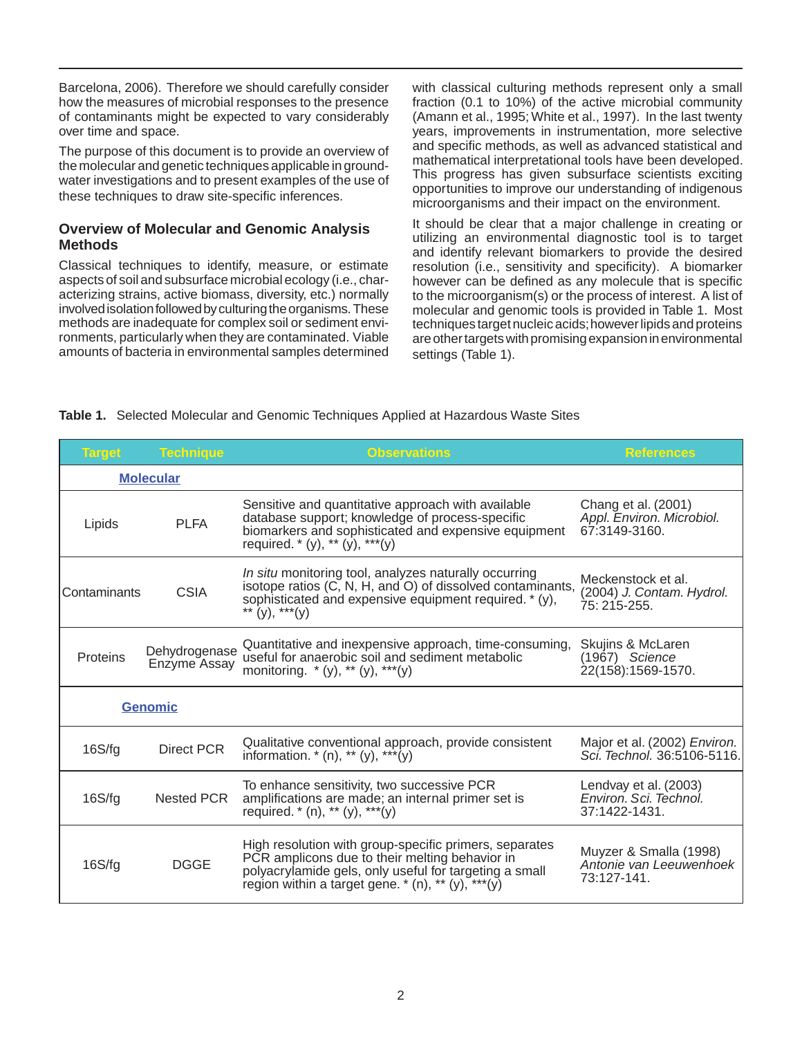Barcelona, 2006). Therefore we should carefully consider over time and space. how the measures of microbial responses to the presence of contaminants might be expected to vary considerably

 these techniques to draw site-specific inferences. The purpose of this document is to provide an overview of the molecular and genetic techniques applicable in groundwater investigations and to present examples of the use of

#### **Overview of Molecular and Genomic Analysis Methods**

 involved isolation followed by culturing the organisms. These ronments, particularly when they are contaminated. Viable Classical techniques to identify, measure, or estimate aspects of soil and subsurface microbial ecology (i.e., characterizing strains, active biomass, diversity, etc.) normally methods are inadequate for complex soil or sediment enviamounts of bacteria in environmental samples determined

 microorganisms and their impact on the environment. with classical culturing methods represent only a small fraction (0.1 to 10%) of the active microbial community (Amann et al., 1995; White et al., 1997). In the last twenty years, improvements in instrumentation, more selective and specific methods, as well as advanced statistical and mathematical interpretational tools have been developed. This progress has given subsurface scientists exciting opportunities to improve our understanding of indigenous

It should be clear that a major challenge in creating or utilizing an environmental diagnostic tool is to target and identify relevant biomarkers to provide the desired resolution (i.e., sensitivity and specificity). A biomarker however can be defined as any molecule that is specific to the microorganism(s) or the process of interest. A list of molecular and genomic tools is provided in Table 1. Most techniques target nucleic acids; however lipids and proteins are other targets with promising expansion in environmental settings (Table 1).

#### **Table 1.** Selected Molecular and Genomic Techniques Applied at Hazardous Waste Sites

| <b>Target</b>  | <b>Technique</b>              | <b>Observations</b>                                                                                                                                                                                                         | References                                                        |
|----------------|-------------------------------|-----------------------------------------------------------------------------------------------------------------------------------------------------------------------------------------------------------------------------|-------------------------------------------------------------------|
|                | <b>Molecular</b>              |                                                                                                                                                                                                                             |                                                                   |
| Lipids         | <b>PLFA</b>                   | Sensitive and quantitative approach with available<br>database support; knowledge of process-specific<br>biomarkers and sophisticated and expensive equipment<br>required. * (y), ** (y), *** (y)                           | Chang et al. (2001)<br>Appl. Environ. Microbiol.<br>67:3149-3160. |
| Contaminants   | <b>CSIA</b>                   | In situ monitoring tool, analyzes naturally occurring<br>isotope ratios (C, N, H, and O) of dissolved contaminants,<br>sophisticated and expensive equipment required. * (y),<br>** $(y)$ , *** $(y)$                       | Meckenstock et al.<br>(2004) J. Contam. Hydrol.<br>75: 215-255.   |
| Proteins       | Dehydrogenase<br>Enzyme Assay | Quantitative and inexpensive approach, time-consuming,<br>useful for anaerobic soil and sediment metabolic<br>monitoring. * (y), ** (y), *** (y)                                                                            | Skujins & McLaren<br>$(1967)$ Science<br>22(158):1569-1570.       |
| <b>Genomic</b> |                               |                                                                                                                                                                                                                             |                                                                   |
| 16S/fg         | <b>Direct PCR</b>             | Qualitative conventional approach, provide consistent<br>information. $*(n)$ , $** (y)$ , $** (y)$                                                                                                                          | Major et al. (2002) Environ.<br>Sci. Technol. 36:5106-5116.       |
| 16S/fg         | Nested PCR                    | To enhance sensitivity, two successive PCR<br>amplifications are made; an internal primer set is<br>required. $*(n)$ , ** (y), ***(y)                                                                                       | Lendvay et al. (2003)<br>Environ. Sci. Technol.<br>37:1422-1431.  |
| 16S/fg         | <b>DGGE</b>                   | High resolution with group-specific primers, separates<br>PCR amplicons due to their melting behavior in<br>polyacrylamide gels, only useful for targeting a small<br>region within a target gene. $*(n)$ , ** (y), *** (y) | Muyzer & Smalla (1998)<br>Antonie van Leeuwenhoek<br>73:127-141.  |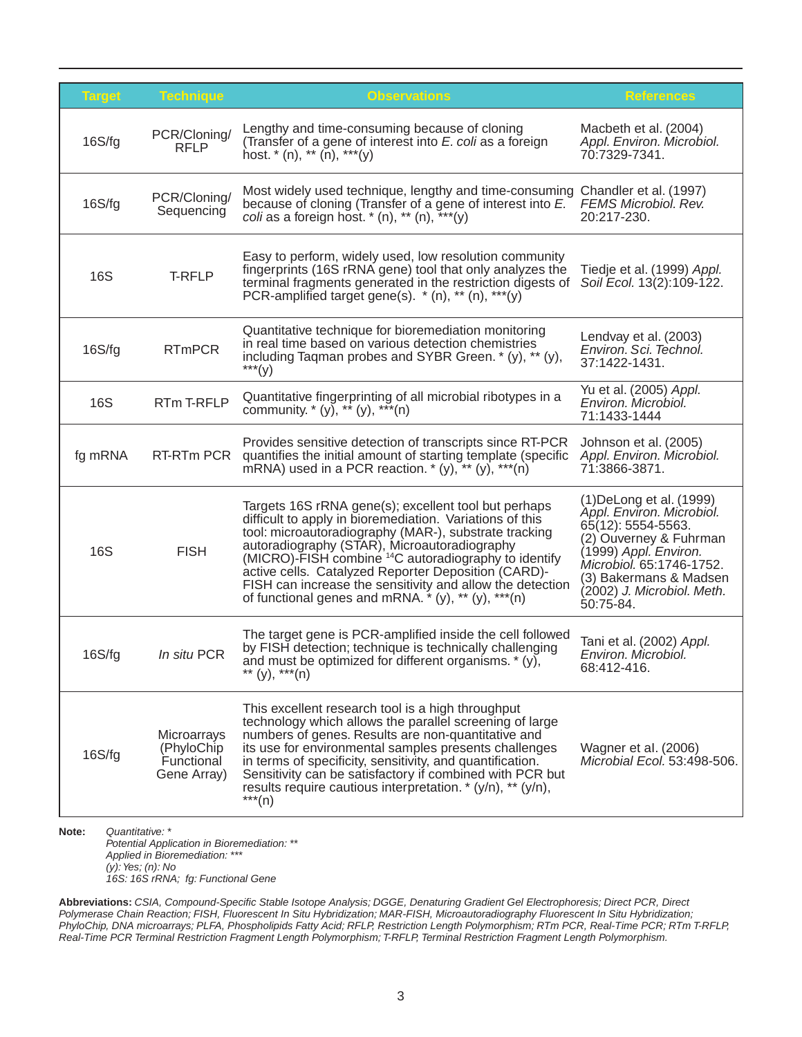| <b>Target</b> | <b>Technique</b>                                        | <b>Observations</b>                                                                                                                                                                                                                                                                                                                                                                                                                                                              | <b>References</b>                                                                                                                                                                                                                |
|---------------|---------------------------------------------------------|----------------------------------------------------------------------------------------------------------------------------------------------------------------------------------------------------------------------------------------------------------------------------------------------------------------------------------------------------------------------------------------------------------------------------------------------------------------------------------|----------------------------------------------------------------------------------------------------------------------------------------------------------------------------------------------------------------------------------|
| 16S/fg        | PCR/Cloning/<br><b>RFLP</b>                             | Lengthy and time-consuming because of cloning<br>(Transfer of a gene of interest into E. coli as a foreign<br>host. $*(n)$ , $**$ (n), $***$ (y)                                                                                                                                                                                                                                                                                                                                 | Macbeth et al. (2004)<br>Appl. Environ. Microbiol.<br>70:7329-7341.                                                                                                                                                              |
| 16S/fg        | PCR/Cloning/<br>Sequencing                              | Most widely used technique, lengthy and time-consuming<br>because of cloning (Transfer of a gene of interest into E.<br>coli as a foreign host. $*(n)$ , $**$ (n), $**$                                                                                                                                                                                                                                                                                                          | Chandler et al. (1997)<br>FEMS Microbiol. Rev.<br>20:217-230.                                                                                                                                                                    |
| <b>16S</b>    | T-RFLP                                                  | Easy to perform, widely used, low resolution community<br>fingerprints (16S rRNA gene) tool that only analyzes the<br>terminal fragments generated in the restriction digests of<br>PCR-amplified target gene(s). $*(n)$ , $**$ (n), $***$ (y)                                                                                                                                                                                                                                   | Tiedje et al. (1999) Appl.<br>Soil Ecol. 13(2):109-122.                                                                                                                                                                          |
| 16S/fg        | <b>RTmPCR</b>                                           | Quantitative technique for bioremediation monitoring<br>in real time based on various detection chemistries<br>including Taqman probes and SYBR Green. * (y), ** (y),<br>$***(y)$                                                                                                                                                                                                                                                                                                | Lendvay et al. (2003)<br>Environ. Sci. Technol.<br>37:1422-1431.                                                                                                                                                                 |
| <b>16S</b>    | RTm T-RFLP                                              | Quantitative fingerprinting of all microbial ribotypes in a community. $*(y)$ , $**$ (y), $***$ (n)                                                                                                                                                                                                                                                                                                                                                                              | Yu et al. (2005) Appl.<br>Environ, Microbiol.<br>71:1433-1444                                                                                                                                                                    |
| fg mRNA       | RT-RTm PCR                                              | Provides sensitive detection of transcripts since RT-PCR<br>quantifies the initial amount of starting template (specific<br>mRNA) used in a PCR reaction. $*(y)$ , $**$ (y), $***$ (n)                                                                                                                                                                                                                                                                                           | Johnson et al. (2005)<br>Appl. Environ. Microbiol.<br>71:3866-3871.                                                                                                                                                              |
| <b>16S</b>    | <b>FISH</b>                                             | Targets 16S rRNA gene(s); excellent tool but perhaps<br>difficult to apply in bioremediation. Variations of this<br>tool: microautoradiography (MAR-), substrate tracking<br>autoradiography (STAR), Microautoradiography<br>(MICRO)-FISH combine <sup>14</sup> C autoradiography to identify<br>active cells. Catalyzed Reporter Deposition (CARD)-<br>FISH can increase the sensitivity and allow the detection<br>of functional genes and mRNA. $*(y)$ , $** (y)$ , $*** (n)$ | (1) De Long et al. (1999)<br>Appl. Environ. Microbiol.<br>65(12): 5554-5563.<br>(2) Ouverney & Fuhrman<br>(1999) Appl. Environ.<br>Microbiol. 65:1746-1752.<br>(3) Bakermans & Madsen<br>(2002) J. Microbiol. Meth.<br>50:75-84. |
| 16S/fg        | In situ PCR                                             | The target gene is PCR-amplified inside the cell followed<br>by FISH detection; technique is technically challenging<br>and must be optimized for different organisms. * (y),<br>** (y), *** (n)                                                                                                                                                                                                                                                                                 | Tani et al. (2002) Appl.<br>Environ. Microbiol.<br>68:412-416.                                                                                                                                                                   |
| 16S/fg        | Microarrays<br>(PhyloChip)<br>Functional<br>Gene Array) | This excellent research tool is a high throughput<br>technology which allows the parallel screening of large<br>numbers of genes. Results are non-quantitative and<br>its use for environmental samples presents challenges<br>in terms of specificity, sensitivity, and quantification.<br>Sensitivity can be satisfactory if combined with PCR but<br>results require cautious interpretation. * (y/n), ** (y/n),<br>$***(n)$                                                  | Wagner et al. (2006)<br>Microbial Ecol. 53:498-506.                                                                                                                                                                              |

*Potential Application in Bioremediation: \*\* Applied in Bioremediation: \*\*\* (y): Yes; (n): No 16S: 16S rRNA; fg: Functional Gene* 

**Abbreviations:** *CSIA, Compound-Specific Stable Isotope Analysis; DGGE, Denaturing Gradient Gel Electrophoresis; Direct PCR, Direct Polymerase Chain Reaction; FISH, Fluorescent In Situ Hybridization; MAR-FISH, Microautoradiography Fluorescent In Situ Hybridization; PhyloChip, DNA microarrays; PLFA, Phospholipids Fatty Acid; RFLP, Restriction Length Polymorphism; RTm PCR, Real-Time PCR; RTm T-RFLP, Real-Time PCR Terminal Restriction Fragment Length Polymorphism; T-RFLP, Terminal Restriction Fragment Length Polymorphism.*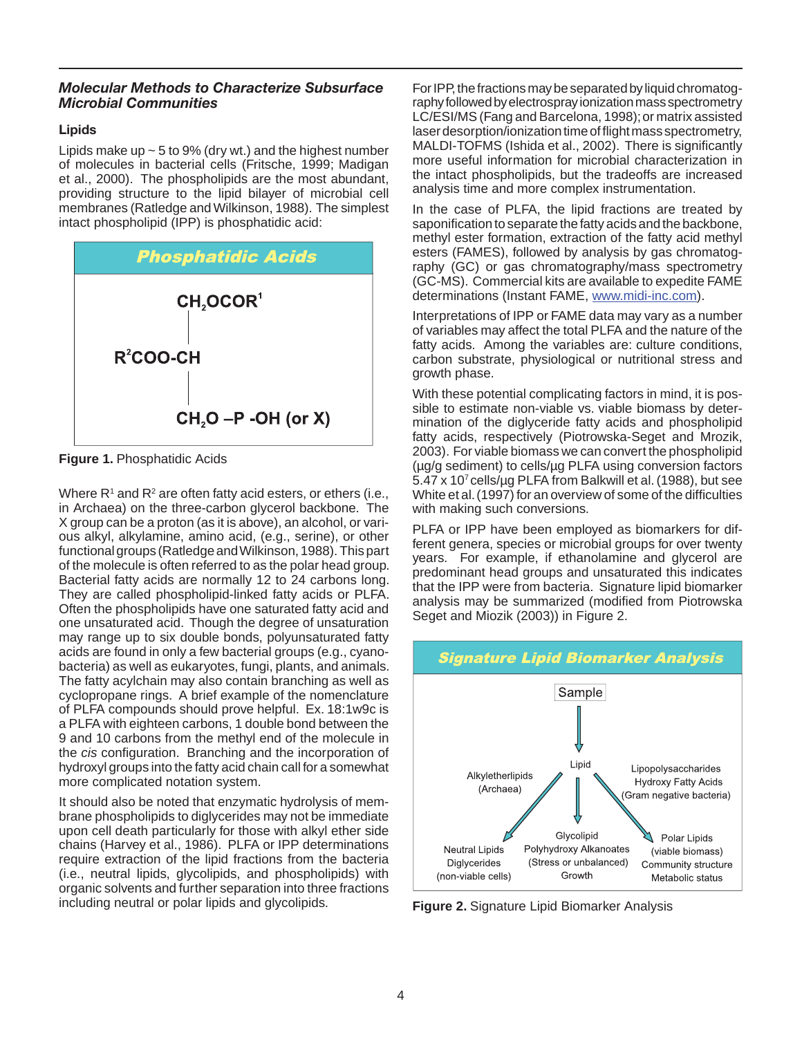#### *Molecular Methods to Characterize Subsurface Microbial Communities*

#### Lipids

 et al., 2000). The phospholipids are the most abundant, membranes (Ratledge and Wilkinson, 1988). The simplest Lipids make up  $\sim$  5 to 9% (dry wt.) and the highest number of molecules in bacterial cells (Fritsche, 1999; Madigan providing structure to the lipid bilayer of microbial cell intact phospholipid (IPP) is phosphatidic acid:



**Figure 1.** Phosphatidic Acids

 in Archaea) on the three-carbon glycerol backbone. The functional groups (Ratledge and Wilkinson, 1988). This part one unsaturated acid. Though the degree of unsaturation more complicated notation system. Where  $R<sup>1</sup>$  and  $R<sup>2</sup>$  are often fatty acid esters, or ethers (i.e., X group can be a proton (as it is above), an alcohol, or various alkyl, alkylamine, amino acid, (e.g., serine), or other of the molecule is often referred to as the polar head group. Bacterial fatty acids are normally 12 to 24 carbons long. They are called phospholipid-linked fatty acids or PLFA. Often the phospholipids have one saturated fatty acid and may range up to six double bonds, polyunsaturated fatty acids are found in only a few bacterial groups (e.g., cyanobacteria) as well as eukaryotes, fungi, plants, and animals. The fatty acylchain may also contain branching as well as cyclopropane rings. A brief example of the nomenclature of PLFA compounds should prove helpful. Ex. 18:1w9c is a PLFA with eighteen carbons, 1 double bond between the 9 and 10 carbons from the methyl end of the molecule in the *cis* configuration. Branching and the incorporation of hydroxyl groups into the fatty acid chain call for a somewhat

It should also be noted that enzymatic hydrolysis of membrane phospholipids to diglycerides may not be immediate upon cell death particularly for those with alkyl ether side chains (Harvey et al., 1986). PLFA or IPP determinations require extraction of the lipid fractions from the bacteria (i.e., neutral lipids, glycolipids, and phospholipids) with organic solvents and further separation into three fractions including neutral or polar lipids and glycolipids.

 MALDI-TOFMS (Ishida et al., 2002). There is significantly analysis time and more complex instrumentation. For IPP, the fractions may be separated by liquid chromatography followed by electrospray ionization mass spectrometry LC/ESI/MS (Fang and Barcelona, 1998); or matrix assisted laser desorption/ionization time of flight mass spectrometry, more useful information for microbial characterization in the intact phospholipids, but the tradeoffs are increased

In the case of PLFA, the lipid fractions are treated by saponification to separate the fatty acids and the backbone, methyl ester formation, extraction of the fatty acid methyl esters (FAMES), followed by analysis by gas chromatography (GC) or gas chromatography/mass spectrometry (GC-MS). Commercial kits are available to expedite FAME determinations (Instant FAME, www.midi-inc.com).

Interpretations of IPP or FAME data may vary as a number of variables may affect the total PLFA and the nature of the fatty acids. Among the variables are: culture conditions, carbon substrate, physiological or nutritional stress and growth phase.

with making such conversions. With these potential complicating factors in mind, it is possible to estimate non-viable vs. viable biomass by determination of the diglyceride fatty acids and phospholipid fatty acids, respectively (Piotrowska-Seget and Mrozik, 2003). For viable biomass we can convert the phospholipid (µg/g sediment) to cells/µg PLFA using conversion factors 5.47 x 107 cells/µg PLFA from Balkwill et al. (1988), but see White et al. (1997) for an overview of some of the difficulties

PLFA or IPP have been employed as biomarkers for different genera, species or microbial groups for over twenty years. For example, if ethanolamine and glycerol are predominant head groups and unsaturated this indicates that the IPP were from bacteria. Signature lipid biomarker analysis may be summarized (modified from Piotrowska Seget and Miozik (2003)) in Figure 2.



**Figure 2.** Signature Lipid Biomarker Analysis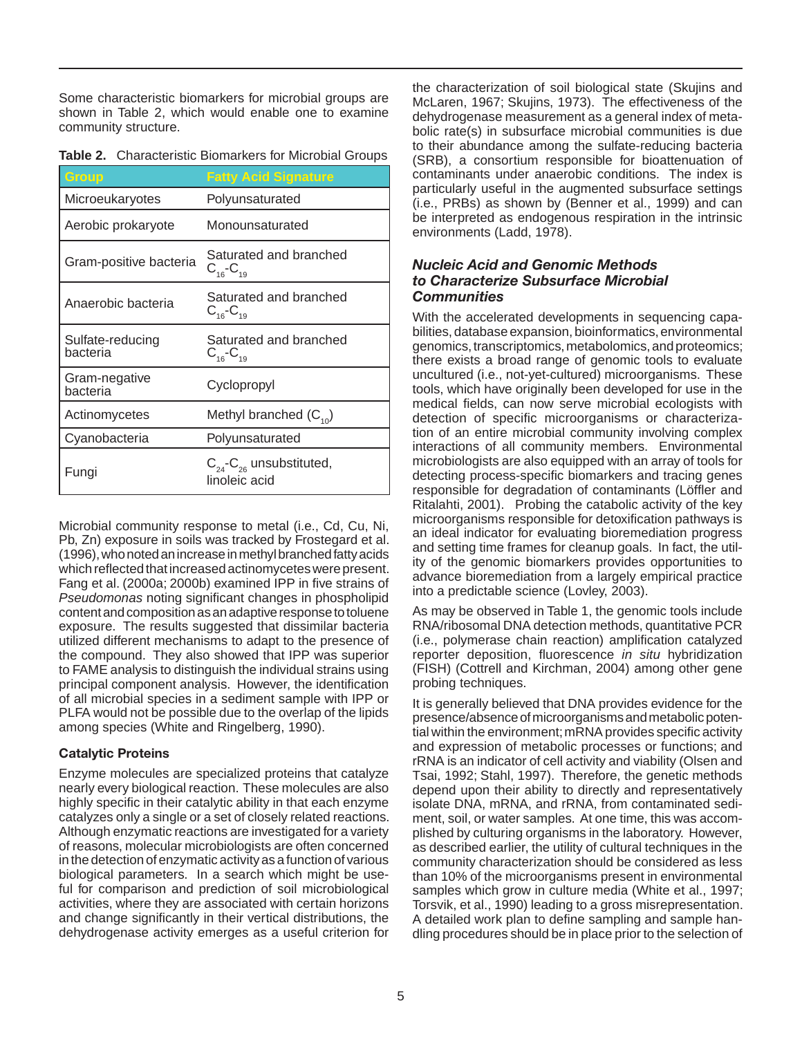Some characteristic biomarkers for microbial groups are shown in Table 2, which would enable one to examine community structure.

| Group                        | <b>Fatty Acid Signature</b>                         |
|------------------------------|-----------------------------------------------------|
| Microeukaryotes              | Polyunsaturated                                     |
| Aerobic prokaryote           | Monounsaturated                                     |
| Gram-positive bacteria       | Saturated and branched<br>$C_{16}$ - $C_{19}$       |
| Anaerobic bacteria           | Saturated and branched<br>$C_{16}$ - $C_{19}$       |
| Sulfate-reducing<br>bacteria | Saturated and branched<br>$C_{16}$ - $C_{19}$       |
| Gram-negative<br>bacteria    | Cyclopropyl                                         |
| Actinomycetes                | Methyl branched $(C_{10})$                          |
| Cyanobacteria                | Polyunsaturated                                     |
| Fungi                        | $C_{24}$ - $C_{26}$ unsubstituted,<br>linoleic acid |

 exposure. The results suggested that dissimilar bacteria the compound. They also showed that IPP was superior Microbial community response to metal (i.e., Cd, Cu, Ni, Pb, Zn) exposure in soils was tracked by Frostegard et al. (1996), who noted an increase in methyl branched fatty acids which reflected that increased actinomycetes were present. Fang et al. (2000a; 2000b) examined IPP in five strains of *Pseudomonas* noting significant changes in phospholipid content and composition as an adaptive response to toluene utilized different mechanisms to adapt to the presence of to FAME analysis to distinguish the individual strains using principal component analysis. However, the identification of all microbial species in a sediment sample with IPP or PLFA would not be possible due to the overlap of the lipids among species (White and Ringelberg, 1990).

#### Catalytic Proteins

 nearly every biological reaction. These molecules are also Enzyme molecules are specialized proteins that catalyze highly specific in their catalytic ability in that each enzyme catalyzes only a single or a set of closely related reactions. Although enzymatic reactions are investigated for a variety of reasons, molecular microbiologists are often concerned in the detection of enzymatic activity as a function of various biological parameters. In a search which might be useful for comparison and prediction of soil microbiological activities, where they are associated with certain horizons and change significantly in their vertical distributions, the dehydrogenase activity emerges as a useful criterion for

 McLaren, 1967; Skujins, 1973). The effectiveness of the contaminants under anaerobic conditions. The index is environments (Ladd, 1978). the characterization of soil biological state (Skujins and dehydrogenase measurement as a general index of metabolic rate(s) in subsurface microbial communities is due to their abundance among the sulfate-reducing bacteria (SRB), a consortium responsible for bioattenuation of particularly useful in the augmented subsurface settings (i.e., PRBs) as shown by (Benner et al., 1999) and can be interpreted as endogenous respiration in the intrinsic

#### *Nucleic Acid and Genomic Methods to Characterize Subsurface Microbial Communities*

 uncultured (i.e., not-yet-cultured) microorganisms. These into a predictable science (Lovley, 2003). With the accelerated developments in sequencing capabilities, database expansion, bioinformatics, environmental genomics, transcriptomics, metabolomics, and proteomics; there exists a broad range of genomic tools to evaluate tools, which have originally been developed for use in the medical fields, can now serve microbial ecologists with detection of specific microorganisms or characterization of an entire microbial community involving complex interactions of all community members. Environmental microbiologists are also equipped with an array of tools for detecting process-specific biomarkers and tracing genes responsible for degradation of contaminants (Löffler and Ritalahti, 2001). Probing the catabolic activity of the key microorganisms responsible for detoxification pathways is an ideal indicator for evaluating bioremediation progress and setting time frames for cleanup goals. In fact, the utility of the genomic biomarkers provides opportunities to advance bioremediation from a largely empirical practice

probing techniques. As may be observed in Table 1, the genomic tools include RNA/ribosomal DNA detection methods, quantitative PCR (i.e., polymerase chain reaction) amplification catalyzed reporter deposition, fluorescence *in situ* hybridization (FISH) (Cottrell and Kirchman, 2004) among other gene

 Tsai, 1992; Stahl, 1997). Therefore, the genetic methods It is generally believed that DNA provides evidence for the presence/absence of microorganisms and metabolic potential within the environment; mRNA provides specific activity and expression of metabolic processes or functions; and rRNA is an indicator of cell activity and viability (Olsen and depend upon their ability to directly and representatively isolate DNA, mRNA, and rRNA, from contaminated sediment, soil, or water samples. At one time, this was accomplished by culturing organisms in the laboratory. However, as described earlier, the utility of cultural techniques in the community characterization should be considered as less than 10% of the microorganisms present in environmental samples which grow in culture media (White et al., 1997; Torsvik, et al., 1990) leading to a gross misrepresentation. A detailed work plan to define sampling and sample handling procedures should be in place prior to the selection of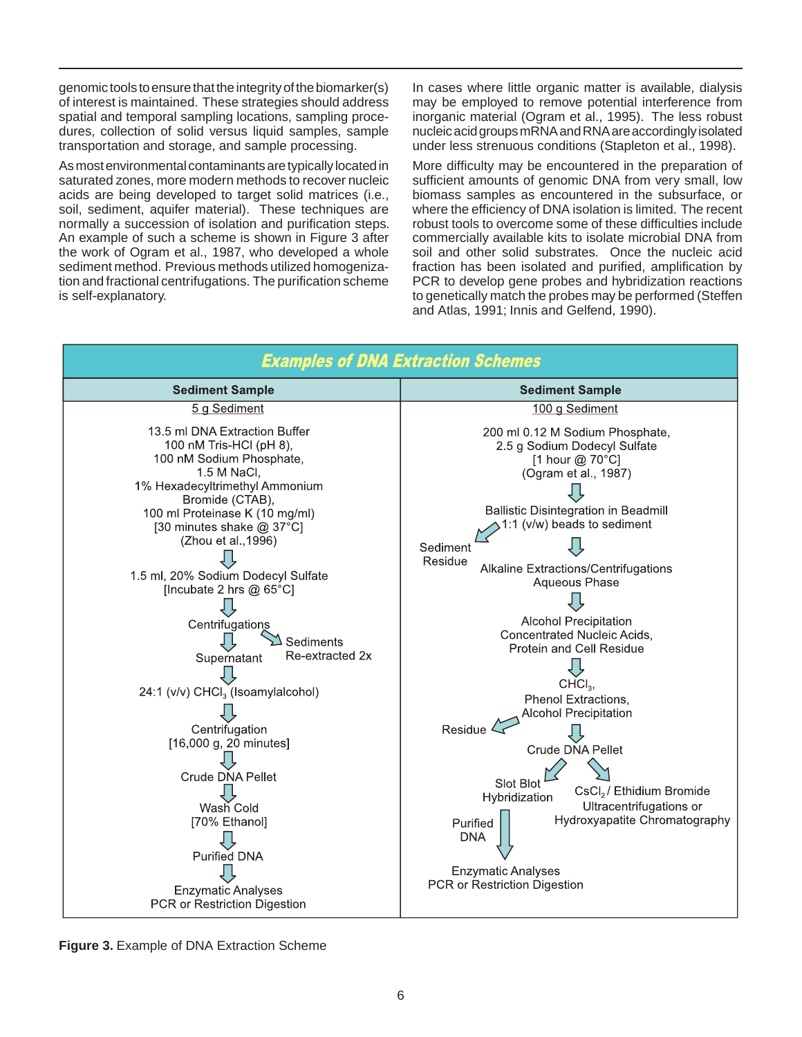genomic tools to ensure that the integrity of the biomarker(s) of interest is maintained. These strategies should address spatial and temporal sampling locations, sampling procedures, collection of solid versus liquid samples, sample transportation and storage, and sample processing.

As most environmental contaminants are typically located in saturated zones, more modern methods to recover nucleic acids are being developed to target solid matrices (i.e., soil, sediment, aquifer material). These techniques are normally a succession of isolation and purification steps. An example of such a scheme is shown in Figure 3 after the work of Ogram et al., 1987, who developed a whole sediment method. Previous methods utilized homogenization and fractional centrifugations. The purification scheme is self-explanatory.

In cases where little organic matter is available, dialysis may be employed to remove potential interference from inorganic material (Ogram et al., 1995). The less robust nucleic acid groups mRNA and RNA are accordingly isolated under less strenuous conditions (Stapleton et al., 1998).

More difficulty may be encountered in the preparation of sufficient amounts of genomic DNA from very small, low biomass samples as encountered in the subsurface, or where the efficiency of DNA isolation is limited. The recent robust tools to overcome some of these difficulties include commercially available kits to isolate microbial DNA from soil and other solid substrates. Once the nucleic acid fraction has been isolated and purified, amplification by PCR to develop gene probes and hybridization reactions to genetically match the probes may be performed (Steffen and Atlas, 1991; Innis and Gelfend, 1990).

| <b>Examples of DNA Extraction Schemes</b>                                                                                                                                                                                                                                                                                                                                                                                                                                                                                                                                           |                                                                                                                                                                                                                                                                                                                                                                                                                                                                                                                                                                                                                                                                                                                      |  |  |  |  |  |
|-------------------------------------------------------------------------------------------------------------------------------------------------------------------------------------------------------------------------------------------------------------------------------------------------------------------------------------------------------------------------------------------------------------------------------------------------------------------------------------------------------------------------------------------------------------------------------------|----------------------------------------------------------------------------------------------------------------------------------------------------------------------------------------------------------------------------------------------------------------------------------------------------------------------------------------------------------------------------------------------------------------------------------------------------------------------------------------------------------------------------------------------------------------------------------------------------------------------------------------------------------------------------------------------------------------------|--|--|--|--|--|
| <b>Sediment Sample</b>                                                                                                                                                                                                                                                                                                                                                                                                                                                                                                                                                              | <b>Sediment Sample</b>                                                                                                                                                                                                                                                                                                                                                                                                                                                                                                                                                                                                                                                                                               |  |  |  |  |  |
| 5 g Sediment                                                                                                                                                                                                                                                                                                                                                                                                                                                                                                                                                                        | 100 g Sediment                                                                                                                                                                                                                                                                                                                                                                                                                                                                                                                                                                                                                                                                                                       |  |  |  |  |  |
| 13.5 ml DNA Extraction Buffer<br>100 nM Tris-HCl (pH 8),<br>100 nM Sodium Phosphate,<br>1.5 M NaCl,<br>1% Hexadecyltrimethyl Ammonium<br>Bromide (CTAB),<br>100 ml Proteinase K (10 mg/ml)<br>[30 minutes shake @ 37°C]<br>(Zhou et al., 1996)<br>1.5 ml, 20% Sodium Dodecyl Sulfate<br>[Incubate 2 hrs $@$ 65 $°C$ ]<br>Centrifugations<br>Sediments<br>Re-extracted 2x<br>Supernatant<br>24:1 (v/v) CHCl <sub>3</sub> (Isoamylalcohol)<br>Centrifugation<br>[16,000 g, 20 minutes]<br>Crude DNA Pellet<br>Wash Cold<br>[70% Ethanol]<br>Purified DNA<br><b>Enzymatic Analyses</b> | 200 ml 0.12 M Sodium Phosphate,<br>2.5 g Sodium Dodecyl Sulfate<br>[1 hour @ 70°C]<br>(Ogram et al., 1987)<br><b>Ballistic Disintegration in Beadmill</b><br>1:1 (v/w) beads to sediment<br>Sediment<br>Residue<br>Alkaline Extractions/Centrifugations<br>Aqueous Phase<br><b>Alcohol Precipitation</b><br>Concentrated Nucleic Acids,<br><b>Protein and Cell Residue</b><br>$CHCl3$ ,<br>Phenol Extractions,<br><b>Alcohol Precipitation</b><br>Residue $\mathcal{L}$<br>Crude DNA Pellet<br>Slot Blot<br>CsCl <sub>2</sub> / Ethidium Bromide<br>Hybridization<br>Ultracentrifugations or<br>Hydroxyapatite Chromatography<br>Purified<br><b>DNA</b><br><b>Enzymatic Analyses</b><br>PCR or Restriction Digestion |  |  |  |  |  |
| PCR or Restriction Digestion                                                                                                                                                                                                                                                                                                                                                                                                                                                                                                                                                        |                                                                                                                                                                                                                                                                                                                                                                                                                                                                                                                                                                                                                                                                                                                      |  |  |  |  |  |

**Figure 3.** Example of DNA Extraction Scheme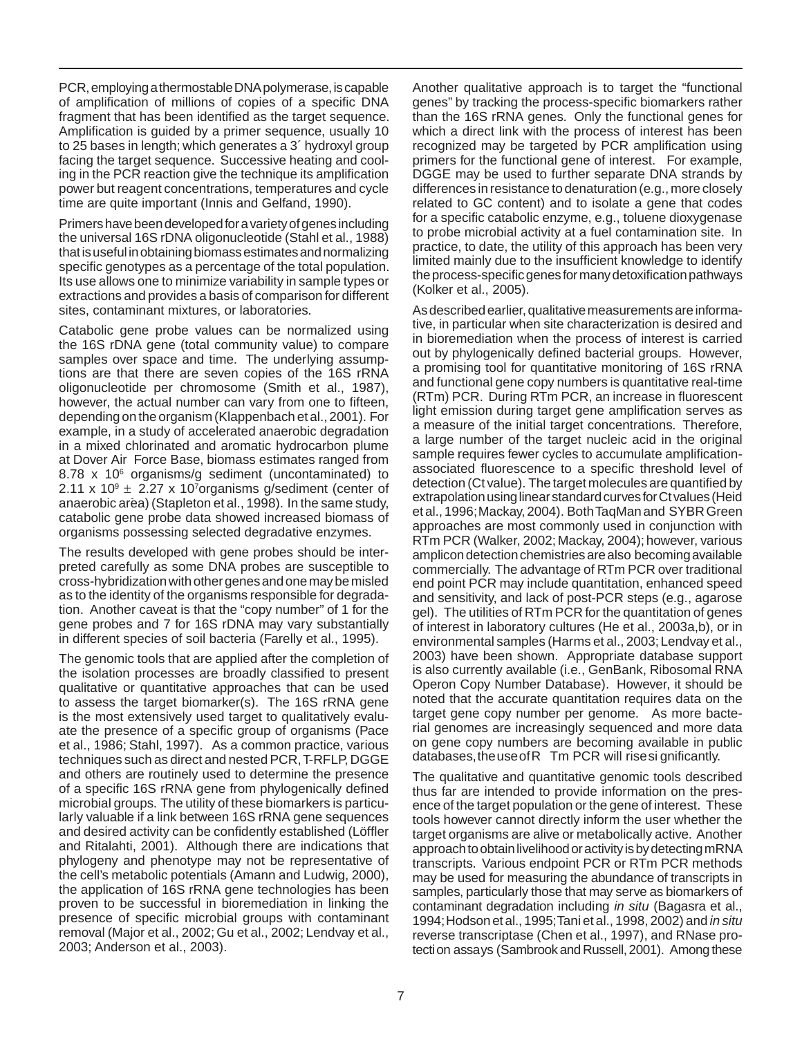time are quite important (Innis and Gelfand, 1990). PCR, employing a thermostable DNA polymerase, is capable of amplification of millions of copies of a specific DNA fragment that has been identified as the target sequence. Amplification is guided by a primer sequence, usually 10 to 25 bases in length; which generates a 3´ hydroxyl group facing the target sequence. Successive heating and cooling in the PCR reaction give the technique its amplification power but reagent concentrations, temperatures and cycle

sites, contaminant mixtures, or laboratories. Primers have been developed for a variety of genes including the universal 16S rDNA oligonucleotide (Stahl et al., 1988) that is useful in obtaining biomass estimates and normalizing specific genotypes as a percentage of the total population. Its use allows one to minimize variability in sample types or extractions and provides a basis of comparison for different

samples over space and time. The underlying assump organisms possessing selected degradative enzymes. Catabolic gene probe values can be normalized using the 16S rDNA gene (total community value) to compare tions are that there are seven copies of the 16S rRNA oligonucleotide per chromosome (Smith et al., 1987), however, the actual number can vary from one to fifteen, depending on the organism (Klappenbach et al., 2001). For example, in a study of accelerated anaerobic degradation in a mixed chlorinated and aromatic hydrocarbon plume at Dover Air Force Base, biomass estimates ranged from 8.78 x 10<sup>6</sup> organisms/g sediment (uncontaminated) to 2.11 x  $10^9 \pm 2.27$  x 10<sup>7</sup>organisms g/sediment (center of anaerobic area) (Stapleton et al., 1998). In the same study, catabolic gene probe data showed increased biomass of

 in different species of soil bacteria (Farelly et al., 1995). The results developed with gene probes should be interpreted carefully as some DNA probes are susceptible to cross-hybridization with other genes and one may be misled as to the identity of the organisms responsible for degradation. Another caveat is that the "copy number" of 1 for the gene probes and 7 for 16S rDNA may vary substantially

 to assess the target biomarker(s). The 16S rRNA gene microbial groups. The utility of these biomarkers is particu- 2003; Anderson et al., 2003). The genomic tools that are applied after the completion of the isolation processes are broadly classified to present qualitative or quantitative approaches that can be used is the most extensively used target to qualitatively evaluate the presence of a specific group of organisms (Pace et al., 1986; Stahl, 1997). As a common practice, various techniques such as direct and nested PCR, T-RFLP, DGGE and others are routinely used to determine the presence of a specific 16S rRNA gene from phylogenically defined larly valuable if a link between 16S rRNA gene sequences and desired activity can be confidently established (Löffler and Ritalahti, 2001). Although there are indications that phylogeny and phenotype may not be representative of the cell's metabolic potentials (Amann and Ludwig, 2000), the application of 16S rRNA gene technologies has been proven to be successful in bioremediation in linking the presence of specific microbial groups with contaminant removal (Major et al., 2002; Gu et al., 2002; Lendvay et al.,

 (Kolker et al., 2005). Another qualitative approach is to target the "functional genes" by tracking the process-specific biomarkers rather than the 16S rRNA genes. Only the functional genes for which a direct link with the process of interest has been recognized may be targeted by PCR amplification using primers for the functional gene of interest. For example, DGGE may be used to further separate DNA strands by differences in resistance to denaturation (e.g., more closely related to GC content) and to isolate a gene that codes for a specific catabolic enzyme, e.g., toluene dioxygenase to probe microbial activity at a fuel contamination site. In practice, to date, the utility of this approach has been very limited mainly due to the insufficient knowledge to identify the process-specific genes for many detoxification pathways

 a measure of the initial target concentrations. Therefore, detection (Ct value). The target molecules are quantified by commercially. The advantage of RTm PCR over traditional gel). The utilities of RTm PCR for the quantitation of genes databases, the use of R Tm PCR will rise si gnificantly. As described earlier, qualitative measurements are informative, in particular when site characterization is desired and in bioremediation when the process of interest is carried out by phylogenically defined bacterial groups. However, a promising tool for quantitative monitoring of 16S rRNA and functional gene copy numbers is quantitative real-time (RTm) PCR. During RTm PCR, an increase in fluorescent light emission during target gene amplification serves as a large number of the target nucleic acid in the original sample requires fewer cycles to accumulate amplificationassociated fluorescence to a specific threshold level of extrapolation using linear standard curves for Ct values (Heid et al., 1996;Mackay, 2004). Both TaqMan and SYBR Green approaches are most commonly used in conjunction with RTm PCR (Walker, 2002; Mackay, 2004); however, various amplicon detection chemistries are also becoming available end point PCR may include quantitation, enhanced speed and sensitivity, and lack of post-PCR steps (e.g., agarose of interest in laboratory cultures (He et al., 2003a,b), or in environmental samples (Harms et al., 2003; Lendvay et al., 2003) have been shown. Appropriate database support is also currently available (i.e., GenBank, Ribosomal RNA Operon Copy Number Database). However, it should be noted that the accurate quantitation requires data on the target gene copy number per genome. As more bacterial genomes are increasingly sequenced and more data on gene copy numbers are becoming available in public

 ence of the target population or the gene of interest. These transcripts. Various endpoint PCR or RTm PCR methods 1994;Hodson et al., 1995;Tani et al., 1998, 2002) and *in situ*  The qualitative and quantitative genomic tools described thus far are intended to provide information on the prestools however cannot directly inform the user whether the target organisms are alive or metabolically active. Another approach to obtain livelihood or activity is by detecting mRNA may be used for measuring the abundance of transcripts in samples, particularly those that may serve as biomarkers of contaminant degradation including *in situ* (Bagasra et al., reverse transcriptase (Chen et al., 1997), and RNase protection assays (Sambrook and Russell, 2001). Among these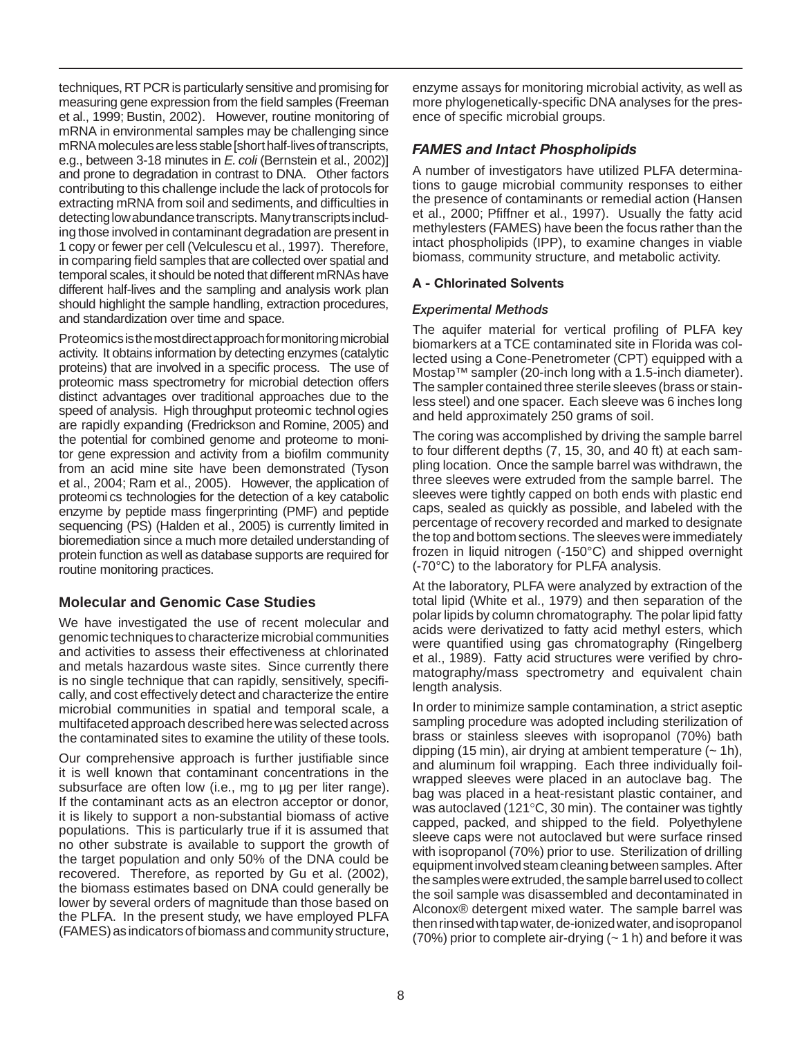et al., 1999; Bustin, 2002). However, routine monitoring of 1 copy or fewer per cell (Velculescu et al., 1997). Therefore, in comparing field samples that are collected over spatial and techniques, RT PCR is particularly sensitive and promising for measuring gene expression from the field samples (Freeman mRNA in environmental samples may be challenging since mRNA molecules are less stable [short half-lives of transcripts, e.g., between 3-18 minutes in *E. coli* (Bernstein et al., 2002)] and prone to degradation in contrast to DNA. Other factors contributing to this challenge include the lack of protocols for extracting mRNA from soil and sediments, and difficulties in detecting low abundance transcripts. Many transcripts including those involved in contaminant degradation are present in temporal scales, it should be noted that different mRNAs have different half-lives and the sampling and analysis work plan should highlight the sample handling, extraction procedures, and standardization over time and space.

 proteins) that are involved in a specific process. The use of tor gene expression and activity from a biofilm community et al., 2004; Ram et al., 2005). However, the application of Proteomics is the most direct approach for monitoring microbial activity. It obtains information by detecting enzymes (catalytic proteomic mass spectrometry for microbial detection offers distinct advantages over traditional approaches due to the speed of analysis. High throughput proteomic technol ogies are rapidly expanding (Fredrickson and Romine, 2005) and the potential for combined genome and proteome to monifrom an acid mine site have been demonstrated (Tyson proteomi cs technologies for the detection of a key catabolic enzyme by peptide mass fingerprinting (PMF) and peptide sequencing (PS) (Halden et al., 2005) is currently limited in bioremediation since a much more detailed understanding of protein function as well as database supports are required for routine monitoring practices.

## **Molecular and Genomic Case Studies**

We have investigated the use of recent molecular and genomic techniques to characterize microbial communities and activities to assess their effectiveness at chlorinated and metals hazardous waste sites. Since currently there is no single technique that can rapidly, sensitively, specifically, and cost effectively detect and characterize the entire microbial communities in spatial and temporal scale, a multifaceted approach described here was selected across the contaminated sites to examine the utility of these tools.

 populations. This is particularly true if it is assumed that recovered. Therefore, as reported by Gu et al. (2002), Our comprehensive approach is further justifiable since it is well known that contaminant concentrations in the subsurface are often low (i.e., mg to µg per liter range). If the contaminant acts as an electron acceptor or donor, it is likely to support a non-substantial biomass of active no other substrate is available to support the growth of the target population and only 50% of the DNA could be the biomass estimates based on DNA could generally be lower by several orders of magnitude than those based on the PLFA. In the present study, we have employed PLFA (FAMES) as indicators of biomass and community structure,

enzyme assays for monitoring microbial activity, as well as more phylogenetically-specific DNA analyses for the presence of specific microbial groups.

## *FAMES and Intact Phospholipids*

 et al., 2000; Pfiffner et al., 1997). Usually the fatty acid biomass, community structure, and metabolic activity. A number of investigators have utilized PLFA determinations to gauge microbial community responses to either the presence of contaminants or remedial action (Hansen methylesters (FAMES) have been the focus rather than the intact phospholipids (IPP), to examine changes in viable

## A - Chlorinated Solvents

#### *Experimental Methods*

 and held approximately 250 grams of soil. The aquifer material for vertical profiling of PLFA key biomarkers at a TCE contaminated site in Florida was collected using a Cone-Penetrometer (CPT) equipped with a Mostap™ sampler (20-inch long with a 1.5-inch diameter). The sampler contained three sterile sleeves (brass or stainless steel) and one spacer. Each sleeve was 6 inches long

 three sleeves were extruded from the sample barrel. The the top and bottom sections. The sleeves were immediately  $(-70^{\circ}C)$  to the laboratory for PLFA analysis. The coring was accomplished by driving the sample barrel to four different depths (7, 15, 30, and 40 ft) at each sampling location. Once the sample barrel was withdrawn, the sleeves were tightly capped on both ends with plastic end caps, sealed as quickly as possible, and labeled with the percentage of recovery recorded and marked to designate frozen in liquid nitrogen (-150°C) and shipped overnight

 polar lipids by column chromatography. The polar lipid fatty At the laboratory, PLFA were analyzed by extraction of the total lipid (White et al., 1979) and then separation of the acids were derivatized to fatty acid methyl esters, which were quantified using gas chromatography (Ringelberg et al., 1989). Fatty acid structures were verified by chromatography/mass spectrometry and equivalent chain length analysis.

 wrapped sleeves were placed in an autoclave bag. The was autoclaved (121°C, 30 min). The container was tightly Alconox® detergent mixed water. The sample barrel was In order to minimize sample contamination, a strict aseptic sampling procedure was adopted including sterilization of brass or stainless sleeves with isopropanol (70%) bath dipping (15 min), air drying at ambient temperature  $(-1)$ , and aluminum foil wrapping. Each three individually foilbag was placed in a heat-resistant plastic container, and capped, packed, and shipped to the field. Polyethylene sleeve caps were not autoclaved but were surface rinsed with isopropanol (70%) prior to use. Sterilization of drilling equipment involved steam cleaning between samples. After the samples were extruded, the sample barrel used to collect the soil sample was disassembled and decontaminated in then rinsed with tap water, de-ionized water, and isopropanol  $(70%)$  prior to complete air-drying  $(-1)$  h) and before it was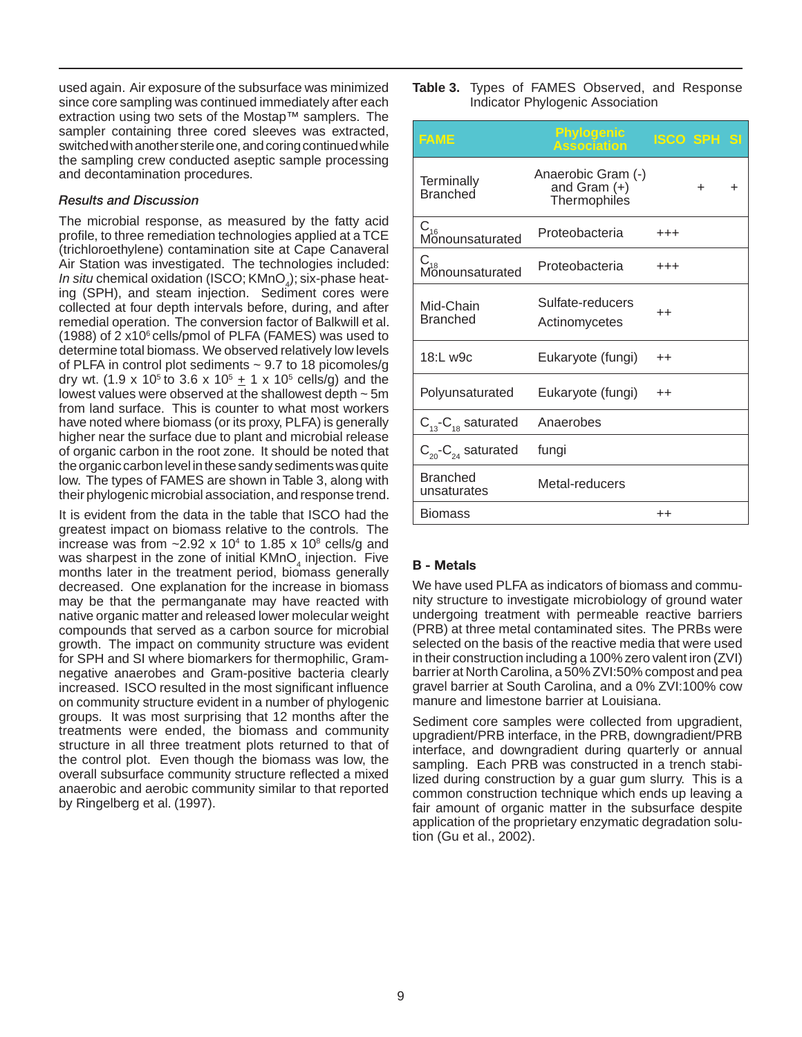extraction using two sets of the Mostap™ samplers. The and decontamination procedures. used again. Air exposure of the subsurface was minimized since core sampling was continued immediately after each sampler containing three cored sleeves was extracted, switched with another sterile one, and coring continued while the sampling crew conducted aseptic sample processing

#### *Results and Discussion*

 Air Station was investigated. The technologies included: remedial operation. The conversion factor of Balkwill et al. determine total biomass. We observed relatively low levels from land surface. This is counter to what most workers low. The types of FAMES are shown in Table 3, along with The microbial response, as measured by the fatty acid profile, to three remediation technologies applied at a TCE (trichloroethylene) contamination site at Cape Canaveral *In situ* chemical oxidation (ISCO; KMnO<sub>4</sub>); six-phase heat ing (SPH), and steam injection. Sediment cores were collected at four depth intervals before, during, and after (1988) of 2  $x10<sup>6</sup>$  cells/pmol of PLFA (FAMES) was used to of PLFA in control plot sediments  $\sim$  9.7 to 18 picomoles/g dry wt. (1.9 x 10<sup>5</sup> to 3.6 x 10<sup>5</sup>  $\pm$  1 x 10<sup>5</sup> cells/g) and the lowest values were observed at the shallowest depth ~ 5m have noted where biomass (or its proxy, PLFA) is generally higher near the surface due to plant and microbial release of organic carbon in the root zone. It should be noted that the organic carbon level in these sandy sediments was quite their phylogenic microbial association, and response trend.

 greatest impact on biomass relative to the controls. The growth. The impact on community structure was evident It is evident from the data in the table that ISCO had the increase was from  $\sim$ 2.92 x 10<sup>4</sup> to 1.85 x 10<sup>8</sup> cells/g and was sharpest in the zone of initial  $K M n O<sub>4</sub>$  injection. Five months later in the treatment period, biomass generally decreased. One explanation for the increase in biomass may be that the permanganate may have reacted with native organic matter and released lower molecular weight compounds that served as a carbon source for microbial for SPH and SI where biomarkers for thermophilic, Gramnegative anaerobes and Gram-positive bacteria clearly increased. ISCO resulted in the most significant influence on community structure evident in a number of phylogenic groups. It was most surprising that 12 months after the treatments were ended, the biomass and community structure in all three treatment plots returned to that of the control plot. Even though the biomass was low, the overall subsurface community structure reflected a mixed anaerobic and aerobic community similar to that reported by Ringelberg et al. (1997).

|                                  |  |  |  | Table 3. Types of FAMES Observed, and Response |  |  |
|----------------------------------|--|--|--|------------------------------------------------|--|--|
| Indicator Phylogenic Association |  |  |  |                                                |  |  |

| FAME                               | <b>Phylogenic</b><br><b>Association</b>                     | ISCO SPH SI     |   |   |
|------------------------------------|-------------------------------------------------------------|-----------------|---|---|
| Terminally<br>Branched             | Anaerobic Gram (-)<br>and Gram $(+)$<br><b>Thermophiles</b> |                 | + | + |
| C <sub>16</sub><br>Monounsaturated | Proteobacteria                                              | $^{+++}$        |   |   |
| $C_{18}$<br>Monounsaturated        | Proteobacteria                                              | $^{+++}$        |   |   |
| Mid-Chain<br><b>Branched</b>       | Sulfate-reducers<br>Actinomycetes                           | $^{\mathrm{+}}$ |   |   |
| 18:L w9c                           | Eukaryote (fungi)                                           | $^{++}$         |   |   |
| Polyunsaturated                    | Eukaryote (fungi)                                           | $^{++}$         |   |   |
| $C_{13}$ - $C_{18}$ saturated      | Anaerobes                                                   |                 |   |   |
| $C_{20}$ - $C_{24}$ saturated      | fungi                                                       |                 |   |   |
| <b>Branched</b><br>unsaturates     | Metal-reducers                                              |                 |   |   |
| <b>Biomass</b>                     |                                                             | $^{++}$         |   |   |

#### B - Metals

 (PRB) at three metal contaminated sites. The PRBs were We have used PLFA as indicators of biomass and community structure to investigate microbiology of ground water undergoing treatment with permeable reactive barriers selected on the basis of the reactive media that were used in their construction including a 100% zero valent iron (ZVI) barrier at North Carolina, a 50% ZVI:50% compost and pea gravel barrier at South Carolina, and a 0% ZVI:100% cow manure and limestone barrier at Louisiana.

 lized during construction by a guar gum slurry. This is a Sediment core samples were collected from upgradient, upgradient/PRB interface, in the PRB, downgradient/PRB interface, and downgradient during quarterly or annual sampling. Each PRB was constructed in a trench stabicommon construction technique which ends up leaving a fair amount of organic matter in the subsurface despite application of the proprietary enzymatic degradation solution (Gu et al., 2002).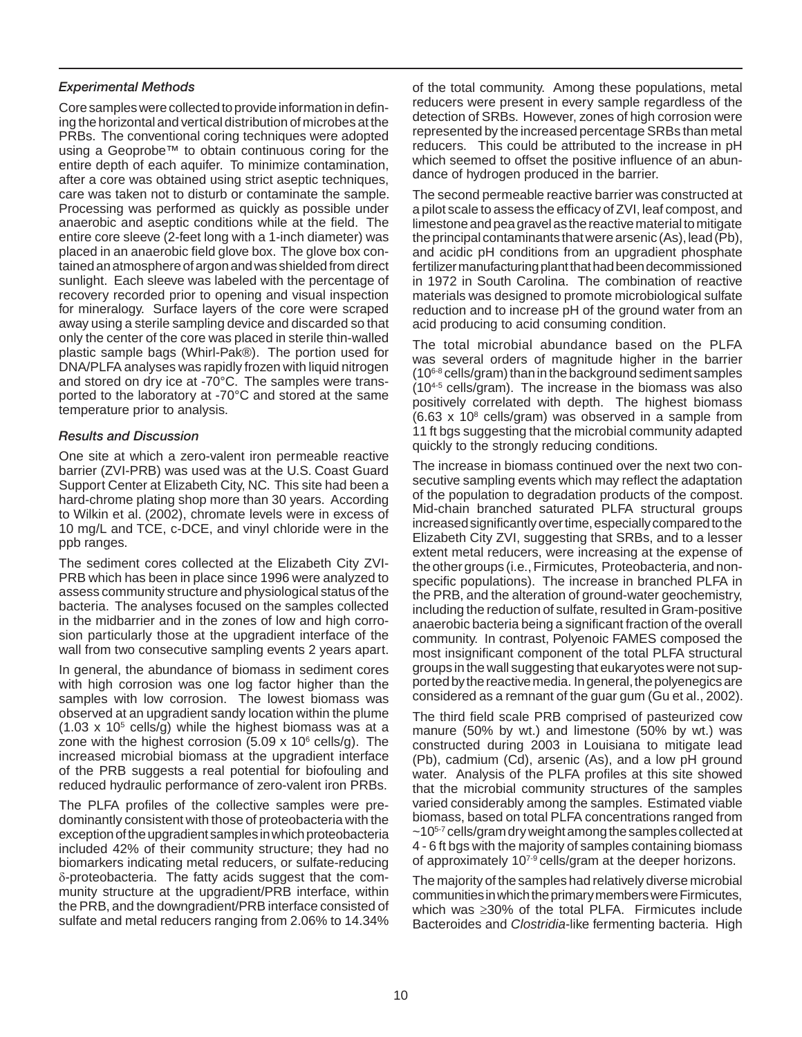#### *Experimental Methods*

 PRBs. The conventional coring techniques were adopted entire depth of each aquifer. To minimize contamination, anaerobic and aseptic conditions while at the field. The placed in an anaerobic field glove box. The glove box con- plastic sample bags (Whirl-Pak®). The portion used for and stored on dry ice at -70°C. The samples were trans Core samples were collected to provide information in defining the horizontal and vertical distribution of microbes at the using a Geoprobe™ to obtain continuous coring for the after a core was obtained using strict aseptic techniques, care was taken not to disturb or contaminate the sample. Processing was performed as quickly as possible under entire core sleeve (2-feet long with a 1-inch diameter) was tained an atmosphere of argon and was shielded from direct sunlight. Each sleeve was labeled with the percentage of recovery recorded prior to opening and visual inspection for mineralogy. Surface layers of the core were scraped away using a sterile sampling device and discarded so that only the center of the core was placed in sterile thin-walled DNA/PLFA analyses was rapidly frozen with liquid nitrogen ported to the laboratory at -70°C and stored at the same temperature prior to analysis.

#### *Results and Discussion*

 Support Center at Elizabeth City, NC. This site had been a One site at which a zero-valent iron permeable reactive barrier (ZVI-PRB) was used was at the U.S. Coast Guard hard-chrome plating shop more than 30 years. According to Wilkin et al. (2002), chromate levels were in excess of 10 mg/L and TCE, c-DCE, and vinyl chloride were in the ppb ranges.

 bacteria. The analyses focused on the samples collected The sediment cores collected at the Elizabeth City ZVI-PRB which has been in place since 1996 were analyzed to assess community structure and physiological status of the in the midbarrier and in the zones of low and high corrosion particularly those at the upgradient interface of the wall from two consecutive sampling events 2 years apart.

 samples with low corrosion. The lowest biomass was zone with the highest corrosion  $(5.09 \times 10^6 \text{ cells/g})$ . The In general, the abundance of biomass in sediment cores with high corrosion was one log factor higher than the observed at an upgradient sandy location within the plume  $(1.03 \times 10^5 \text{ cells/g})$  while the highest biomass was at a increased microbial biomass at the upgradient interface of the PRB suggests a real potential for biofouling and reduced hydraulic performance of zero-valent iron PRBs.

 δ-proteobacteria. The fatty acids suggest that the com-The PLFA profiles of the collective samples were predominantly consistent with those of proteobacteria with the exception of the upgradient samples in which proteobacteria included 42% of their community structure; they had no biomarkers indicating metal reducers, or sulfate-reducing munity structure at the upgradient/PRB interface, within the PRB, and the downgradient/PRB interface consisted of sulfate and metal reducers ranging from 2.06% to 14.34%

 detection of SRBs. However, zones of high corrosion were reducers. This could be attributed to the increase in pH of the total community. Among these populations, metal reducers were present in every sample regardless of the represented by the increased percentage SRBs than metal which seemed to offset the positive influence of an abundance of hydrogen produced in the barrier.

 in 1972 in South Carolina. The combination of reactive acid producing to acid consuming condition. The second permeable reactive barrier was constructed at a pilot scale to assess the efficacy of ZVI, leaf compost, and limestone and pea gravel as the reactive material to mitigate the principal contaminants that were arsenic (As), lead (Pb), and acidic pH conditions from an upgradient phosphate fertilizer manufacturing plant that had been decommissioned materials was designed to promote microbiological sulfate reduction and to increase pH of the ground water from an

 (104-5 cells/gram). The increase in the biomass was also positively correlated with depth. The highest biomass quickly to the strongly reducing conditions. The total microbial abundance based on the PLFA was several orders of magnitude higher in the barrier  $(10<sup>6-8</sup>$  cells/gram) than in the background sediment samples  $(6.63 \times 10^8 \text{ cells/gram})$  was observed in a sample from 11 ft bgs suggesting that the microbial community adapted

 specific populations). The increase in branched PLFA in The increase in biomass continued over the next two consecutive sampling events which may reflect the adaptation of the population to degradation products of the compost. Mid-chain branched saturated PLFA structural groups increased significantly over time, especially compared to the Elizabeth City ZVI, suggesting that SRBs, and to a lesser extent metal reducers, were increasing at the expense of the other groups (i.e., Firmicutes, Proteobacteria, and nonthe PRB, and the alteration of ground-water geochemistry, including the reduction of sulfate, resulted in Gram-positive anaerobic bacteria being a significant fraction of the overall community. In contrast, Polyenoic FAMES composed the most insignificant component of the total PLFA structural groups in the wall suggesting that eukaryotes were not supported by the reactive media. In general, the polyenegics are considered as a remnant of the guar gum (Gu et al., 2002).

of approximately 10<sup>7-9</sup> cells/gram at the deeper horizons. The third field scale PRB comprised of pasteurized cow manure (50% by wt.) and limestone (50% by wt.) was constructed during 2003 in Louisiana to mitigate lead (Pb), cadmium (Cd), arsenic (As), and a low pH ground water. Analysis of the PLFA profiles at this site showed that the microbial community structures of the samples varied considerably among the samples. Estimated viable biomass, based on total PLFA concentrations ranged from  $\sim$ 10<sup>5-7</sup> cells/gram dry weight among the samples collected at 4 - 6 ft bgs with the majority of samples containing biomass

The majority of the samples had relatively diverse microbial communities in which the primary members were Firmicutes, which was ≥30% of the total PLFA. Firmicutes include Bacteroides and *Clostridia*-like fermenting bacteria. High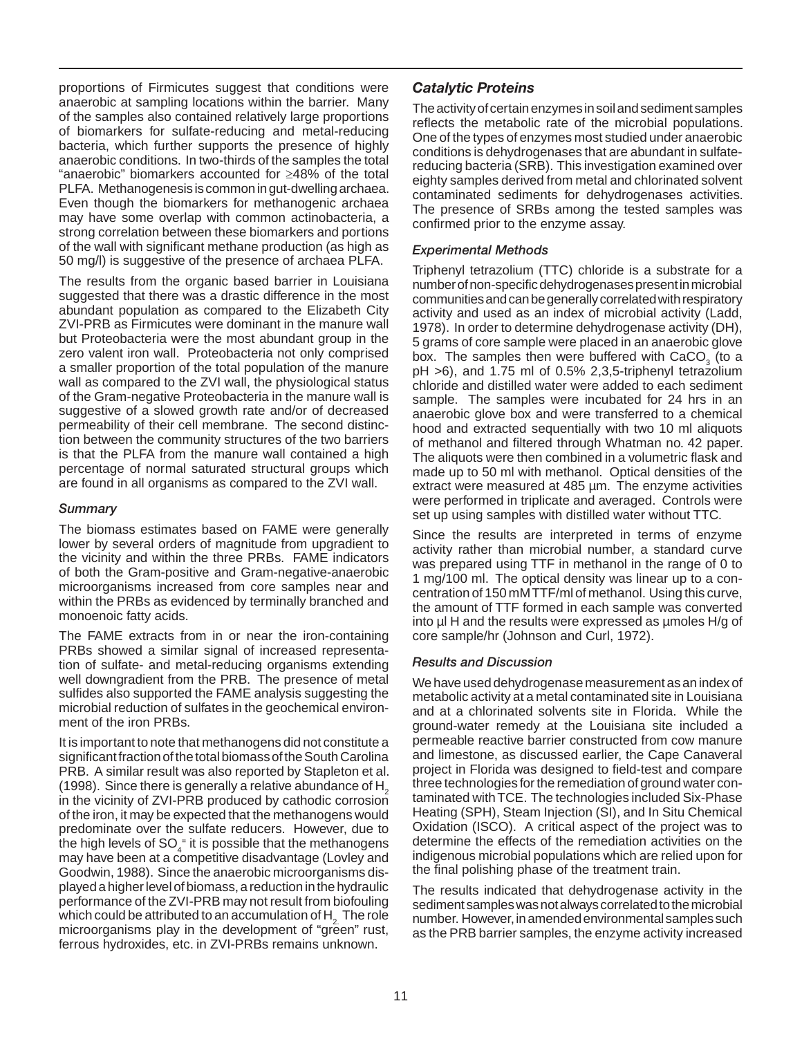proportions of Firmicutes suggest that conditions were anaerobic at sampling locations within the barrier. Many of the samples also contained relatively large proportions of biomarkers for sulfate-reducing and metal-reducing bacteria, which further supports the presence of highly anaerobic conditions. In two-thirds of the samples the total "anaerobic" biomarkers accounted for ≥48% of the total PLFA. Methanogenesis is common in gut-dwelling archaea. Even though the biomarkers for methanogenic archaea may have some overlap with common actinobacteria, a strong correlation between these biomarkers and portions of the wall with significant methane production (as high as 50 mg/l) is suggestive of the presence of archaea PLFA.

 permeability of their cell membrane. The second distinc-The results from the organic based barrier in Louisiana suggested that there was a drastic difference in the most abundant population as compared to the Elizabeth City ZVI-PRB as Firmicutes were dominant in the manure wall but Proteobacteria were the most abundant group in the zero valent iron wall. Proteobacteria not only comprised a smaller proportion of the total population of the manure wall as compared to the ZVI wall, the physiological status of the Gram-negative Proteobacteria in the manure wall is suggestive of a slowed growth rate and/or of decreased tion between the community structures of the two barriers is that the PLFA from the manure wall contained a high percentage of normal saturated structural groups which are found in all organisms as compared to the ZVI wall.

#### *Summary*

The biomass estimates based on FAME were generally lower by several orders of magnitude from upgradient to the vicinity and within the three PRBs. FAME indicators of both the Gram-positive and Gram-negative-anaerobic microorganisms increased from core samples near and within the PRBs as evidenced by terminally branched and monoenoic fatty acids.

 well downgradient from the PRB. The presence of metal ment of the iron PRBs. The FAME extracts from in or near the iron-containing PRBs showed a similar signal of increased representation of sulfate- and metal-reducing organisms extending sulfides also supported the FAME analysis suggesting the microbial reduction of sulfates in the geochemical environ-

which could be attributed to an accumulation of  $\mathsf{H}_{2}^-$  The role It is important to note that methanogens did not constitute a significant fraction of the total biomass of the South Carolina PRB. A similar result was also reported by Stapleton et al. (1998). Since there is generally a relative abundance of  $H<sub>2</sub>$ in the vicinity of ZVI-PRB produced by cathodic corrosion of the iron, it may be expected that the methanogens would predominate over the sulfate reducers. However, due to the high levels of  $SO_4^*$  it is possible that the methanogens may have been at a competitive disadvantage (Lovley and Goodwin, 1988). Since the anaerobic microorganisms displayed a higher level of biomass, a reduction in the hydraulic performance of the ZVI-PRB may not result from biofouling microorganisms play in the development of "green" rust, ferrous hydroxides, etc. in ZVI-PRBs remains unknown.

## *Catalytic Proteins*

 reducing bacteria (SRB). This investigation examined over The activity of certain enzymes in soil and sediment samples reflects the metabolic rate of the microbial populations. One of the types of enzymes most studied under anaerobic conditions is dehydrogenases that are abundant in sulfateeighty samples derived from metal and chlorinated solvent contaminated sediments for dehydrogenases activities. The presence of SRBs among the tested samples was confirmed prior to the enzyme assay.

#### *Experimental Methods*

box. The samples then were buffered with  $CaCO<sub>3</sub>$  (to a sample. The samples were incubated for 24 hrs in an extract were measured at 485 µm. The enzyme activities Triphenyl tetrazolium (TTC) chloride is a substrate for a number of non-specific dehydrogenases present in microbial communities and can be generally correlated with respiratory activity and used as an index of microbial activity (Ladd, 1978). In order to determine dehydrogenase activity (DH), 5 grams of core sample were placed in an anaerobic glove pH >6), and 1.75 ml of 0.5% 2,3,5-triphenyl tetrazolium chloride and distilled water were added to each sediment anaerobic glove box and were transferred to a chemical hood and extracted sequentially with two 10 ml aliquots of methanol and filtered through Whatman no. 42 paper. The aliquots were then combined in a volumetric flask and made up to 50 ml with methanol. Optical densities of the were performed in triplicate and averaged. Controls were set up using samples with distilled water without TTC.

 1 mg/100 ml. The optical density was linear up to a con-Since the results are interpreted in terms of enzyme activity rather than microbial number, a standard curve was prepared using TTF in methanol in the range of 0 to centration of 150 mM TTF/ml of methanol. Using this curve, the amount of TTF formed in each sample was converted into ul H and the results were expressed as umoles H/g of core sample/hr (Johnson and Curl, 1972).

#### *Results and Discussion*

 and at a chlorinated solvents site in Florida. While the taminated with TCE. The technologies included Six-Phase We have used dehydrogenase measurement as an index of metabolic activity at a metal contaminated site in Louisiana ground-water remedy at the Louisiana site included a permeable reactive barrier constructed from cow manure and limestone, as discussed earlier, the Cape Canaveral project in Florida was designed to field-test and compare three technologies for the remediation of ground water con-Heating (SPH), Steam Injection (SI), and In Situ Chemical Oxidation (ISCO). A critical aspect of the project was to determine the effects of the remediation activities on the indigenous microbial populations which are relied upon for the final polishing phase of the treatment train.

The results indicated that dehydrogenase activity in the sediment samples was not always correlated to the microbial number. However, in amended environmental samples such as the PRB barrier samples, the enzyme activity increased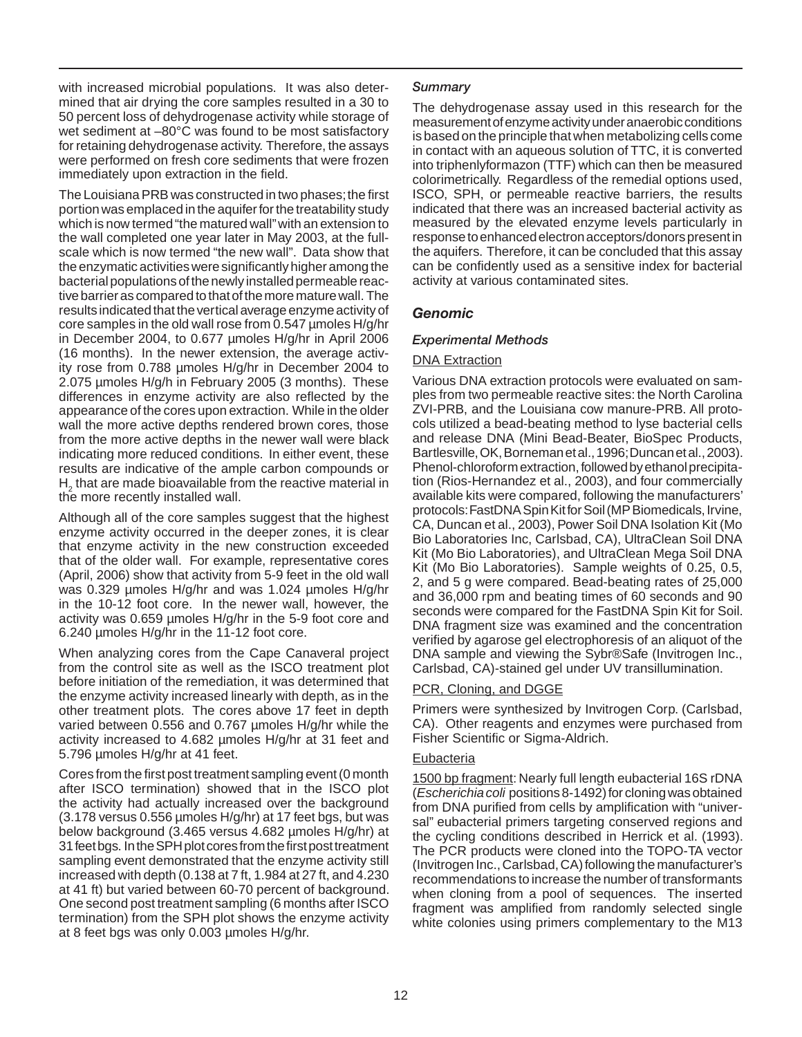for retaining dehydrogenase activity. Therefore, the assays immediately upon extraction in the field. with increased microbial populations. It was also determined that air drying the core samples resulted in a 30 to 50 percent loss of dehydrogenase activity while storage of wet sediment at –80°C was found to be most satisfactory were performed on fresh core sediments that were frozen

 tive barrier as compared to that of the more mature wall. The 2.075 µmoles H/g/h in February 2005 (3 months). These appearance of the cores upon extraction. While in the older The Louisiana PRB was constructed in two phases; the first portion was emplaced in the aquifer for the treatability study which is now termed "the matured wall" with an extension to the wall completed one year later in May 2003, at the fullscale which is now termed "the new wall". Data show that the enzymatic activities were significantly higher among the bacterial populations of the newly installed permeable reacresults indicated that the vertical average enzyme activity of core samples in the old wall rose from 0.547 µmoles H/g/hr in December 2004, to 0.677 µmoles H/g/hr in April 2006 (16 months). In the newer extension, the average activity rose from 0.788 µmoles H/g/hr in December 2004 to differences in enzyme activity are also reflected by the wall the more active depths rendered brown cores, those from the more active depths in the newer wall were black indicating more reduced conditions. In either event, these results are indicative of the ample carbon compounds or  $H<sub>2</sub>$  that are made bioavailable from the reactive material in the more recently installed wall.

Although all of the core samples suggest that the highest enzyme activity occurred in the deeper zones, it is clear that enzyme activity in the new construction exceeded that of the older wall. For example, representative cores (April, 2006) show that activity from 5-9 feet in the old wall was 0.329 µmoles H/g/hr and was 1.024 µmoles H/g/hr in the 10-12 foot core. In the newer wall, however, the activity was 0.659 µmoles H/g/hr in the 5-9 foot core and 6.240 µmoles H/g/hr in the 11-12 foot core.

 other treatment plots. The cores above 17 feet in depth 5.796 umoles H/g/hr at 41 feet. When analyzing cores from the Cape Canaveral project from the control site as well as the ISCO treatment plot before initiation of the remediation, it was determined that the enzyme activity increased linearly with depth, as in the varied between 0.556 and 0.767 µmoles H/g/hr while the activity increased to 4.682 µmoles H/g/hr at 31 feet and

 at 8 feet bgs was only 0.003 µmoles H/g/hr. Cores from the first post treatment sampling event (0 month after ISCO termination) showed that in the ISCO plot the activity had actually increased over the background (3.178 versus 0.556 µmoles H/g/hr) at 17 feet bgs, but was below background (3.465 versus 4.682 µmoles H/g/hr) at 31feet bgs. In the SPH plot cores from the first post treatment sampling event demonstrated that the enzyme activity still increased with depth (0.138 at 7 ft, 1.984 at 27 ft, and 4.230 at 41 ft) but varied between 60-70 percent of background. One second post treatment sampling (6 months after ISCO termination) from the SPH plot shows the enzyme activity

#### *Summary*

 the aquifers. Therefore, it can be concluded that this assay The dehydrogenase assay used in this research for the measurement of enzyme activity under anaerobic conditions is based on the principle that when metabolizing cells come in contact with an aqueous solution of TTC, it is converted into triphenlyformazon (TTF) which can then be measured colorimetrically. Regardless of the remedial options used, ISCO, SPH, or permeable reactive barriers, the results indicated that there was an increased bacterial activity as measured by the elevated enzyme levels particularly in response to enhanced electron acceptors/donors present in can be confidently used as a sensitive index for bacterial activity at various contaminated sites.

## *Genomic*

#### *Experimental Methods*

#### DNA Extraction

Various DNA extraction protocols were evaluated on samples from two permeable reactive sites: the North Carolina ZVI-PRB, and the Louisiana cow manure-PRB. All protocols utilized a bead-beating method to lyse bacterial cells and release DNA (Mini Bead-Beater, BioSpec Products, Bartlesville, OK, Borneman et al., 1996; Duncan et al., 2003). Phenol-chloroform extraction, followed by ethanol precipitation (Rios-Hernandez et al., 2003), and four commercially available kits were compared, following the manufacturers' protocols: FastDNA Spin Kit for Soil (MP Biomedicals, Irvine, CA, Duncan et al., 2003), Power Soil DNA Isolation Kit (Mo Bio Laboratories Inc, Carlsbad, CA), UltraClean Soil DNA Kit (Mo Bio Laboratories), and UltraClean Mega Soil DNA Kit (Mo Bio Laboratories). Sample weights of 0.25, 0.5, 2, and 5 g were compared. Bead-beating rates of 25,000 and 36,000 rpm and beating times of 60 seconds and 90 seconds were compared for the FastDNA Spin Kit for Soil. DNA fragment size was examined and the concentration verified by agarose gel electrophoresis of an aliquot of the DNA sample and viewing the Sybr®Safe (Invitrogen Inc., Carlsbad, CA)-stained gel under UV transillumination.

#### PCR, Cloning, and DGGE

Primers were synthesized by Invitrogen Corp. (Carlsbad, CA). Other reagents and enzymes were purchased from Fisher Scientific or Sigma-Aldrich.

#### **Eubacteria**

 when cloning from a pool of sequences. The inserted 1500 bp fragment: Nearly full length eubacterial 16S rDNA (*Escherichia coli* positions 8-1492) for cloning was obtained from DNA purified from cells by amplification with "universal" eubacterial primers targeting conserved regions and the cycling conditions described in Herrick et al. (1993). The PCR products were cloned into the TOPO-TA vector (Invitrogen Inc., Carlsbad, CA) following the manufacturer's recommendations to increase the number of transformants fragment was amplified from randomly selected single white colonies using primers complementary to the M13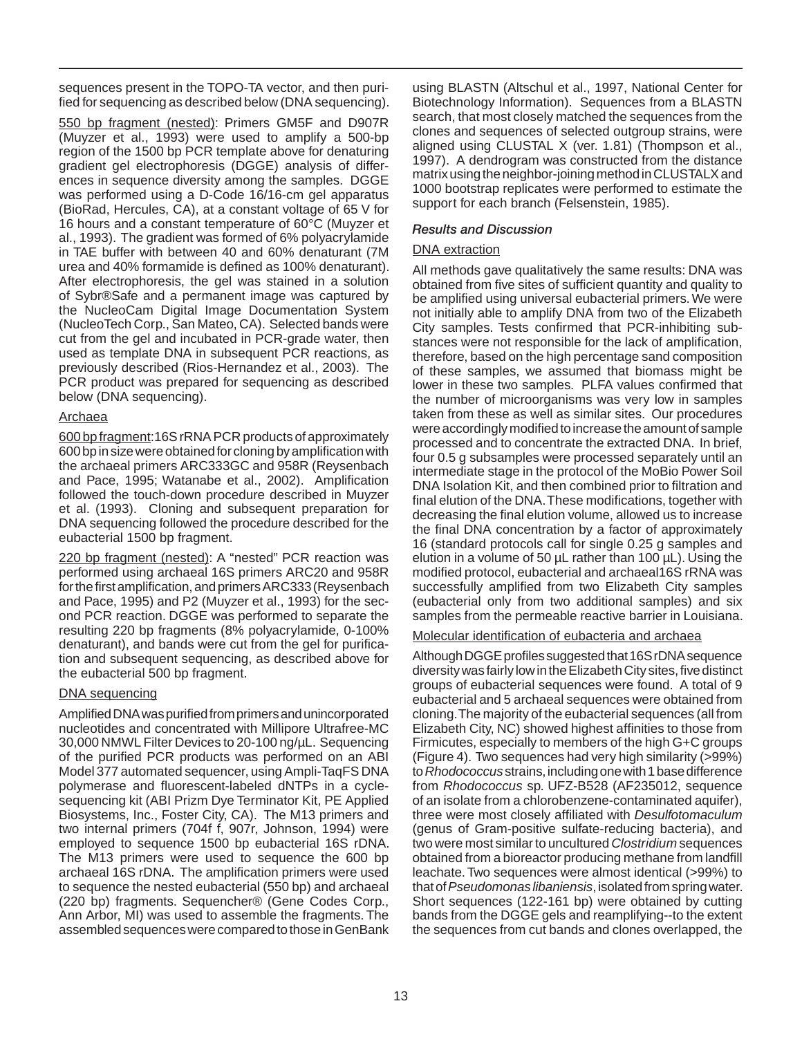sequences present in the TOPO-TA vector, and then purified for sequencing as described below (DNA sequencing).

 al., 1993). The gradient was formed of 6% polyacrylamide previously described (Rios-Hernandez et al., 2003). The 550 bp fragment (nested): Primers GM5F and D907R (Muyzer et al., 1993) were used to amplify a 500-bp region of the 1500 bp PCR template above for denaturing gradient gel electrophoresis (DGGE) analysis of differences in sequence diversity among the samples. DGGE was performed using a D-Code 16/16-cm gel apparatus (BioRad, Hercules, CA), at a constant voltage of 65 V for 16 hours and a constant temperature of 60°C (Muyzer et in TAE buffer with between 40 and 60% denaturant (7M urea and 40% formamide is defined as 100% denaturant). After electrophoresis, the gel was stained in a solution of Sybr®Safe and a permanent image was captured by the NucleoCam Digital Image Documentation System (NucleoTech Corp., San Mateo, CA). Selected bands were cut from the gel and incubated in PCR-grade water, then used as template DNA in subsequent PCR reactions, as PCR product was prepared for sequencing as described below (DNA sequencing).

#### Archaea

600 bp fragment:16S rRNA PCR products of approximately 600 bp in size were obtained for cloning by amplification with the archaeal primers ARC333GC and 958R (Reysenbach and Pace, 1995; Watanabe et al., 2002). Amplification followed the touch-down procedure described in Muyzer et al. (1993). Cloning and subsequent preparation for DNA sequencing followed the procedure described for the eubacterial 1500 bp fragment.

220 bp fragment (nested): A "nested" PCR reaction was performed using archaeal 16S primers ARC20 and 958R for the first amplification, and primers ARC333 (Reysenbach and Pace, 1995) and P2 (Muyzer et al., 1993) for the second PCR reaction. DGGE was performed to separate the resulting 220 bp fragments (8% polyacrylamide, 0-100% denaturant), and bands were cut from the gel for purification and subsequent sequencing, as described above for the eubacterial 500 bp fragment.

#### DNA sequencing

 Biosystems, Inc., Foster City, CA). The M13 primers and archaeal 16S rDNA. The amplification primers were used Amplified DNA was purified from primers and unincorporated nucleotides and concentrated with Millipore Ultrafree-MC 30,000 NMWL Filter Devices to 20-100 ng/µL. Sequencing of the purified PCR products was performed on an ABI Model 377 automated sequencer, using Ampli-TaqFS DNA polymerase and fluorescent-labeled dNTPs in a cyclesequencing kit (ABI Prizm Dye Terminator Kit, PE Applied two internal primers (704f f, 907r, Johnson, 1994) were employed to sequence 1500 bp eubacterial 16S rDNA. The M13 primers were used to sequence the 600 bp to sequence the nested eubacterial (550 bp) and archaeal (220 bp) fragments. Sequencher® (Gene Codes Corp., Ann Arbor, MI) was used to assemble the fragments. The assembled sequences were compared to those in GenBank

using BLASTN (Altschul et al., 1997, National Center for Biotechnology Information). Sequences from a BLASTN search, that most closely matched the sequences from the clones and sequences of selected outgroup strains, were aligned using CLUSTAL X (ver. 1.81) (Thompson et al., 1997). A dendrogram was constructed from the distance matrix using the neighbor-joining method in CLUSTALX and 1000 bootstrap replicates were performed to estimate the support for each branch (Felsenstein, 1985).

## *Results and Discussion*

## DNA extraction

All methods gave qualitatively the same results: DNA was obtained from five sites of sufficient quantity and quality to be amplified using universal eubacterial primers. We were not initially able to amplify DNA from two of the Elizabeth City samples. Tests confirmed that PCR-inhibiting substances were not responsible for the lack of amplification, therefore, based on the high percentage sand composition of these samples, we assumed that biomass might be lower in these two samples. PLFA values confirmed that the number of microorganisms was very low in samples taken from these as well as similar sites. Our procedures were accordingly modified to increase the amount of sample processed and to concentrate the extracted DNA. In brief, four 0.5 g subsamples were processed separately until an intermediate stage in the protocol of the MoBio Power Soil DNA Isolation Kit, and then combined prior to filtration and final elution of the DNA.These modifications, together with decreasing the final elution volume, allowed us to increase the final DNA concentration by a factor of approximately 16 (standard protocols call for single 0.25 g samples and elution in a volume of 50 µL rather than 100 µL). Using the modified protocol, eubacterial and archaeal16S rRNA was successfully amplified from two Elizabeth City samples (eubacterial only from two additional samples) and six samples from the permeable reactive barrier in Louisiana.

## Molecular identification of eubacteria and archaea

 (Figure 4). Two sequences had very high similarity (>99%) Although DGGE profiles suggested that 16S rDNA sequence diversity was fairly low in the Elizabeth City sites, five distinct groups of eubacterial sequences were found. A total of 9 eubacterial and 5 archaeal sequences were obtained from cloning.The majority of the eubacterial sequences (all from Elizabeth City, NC) showed highest affinities to those from Firmicutes, especially to members of the high G+C groups to *Rhodococcus* strains, including one with 1 base difference from *Rhodococcus* sp. UFZ-B528 (AF235012, sequence of an isolate from a chlorobenzene-contaminated aquifer), three were most closely affiliated with *Desulfotomaculum*  (genus of Gram-positive sulfate-reducing bacteria), and two were most similar to uncultured *Clostridium* sequences obtained from a bioreactor producing methane from landfill leachate. Two sequences were almost identical (>99%) to that of *Pseudomonas libaniensis*, isolated from spring water. Short sequences (122-161 bp) were obtained by cutting bands from the DGGE gels and reamplifying--to the extent the sequences from cut bands and clones overlapped, the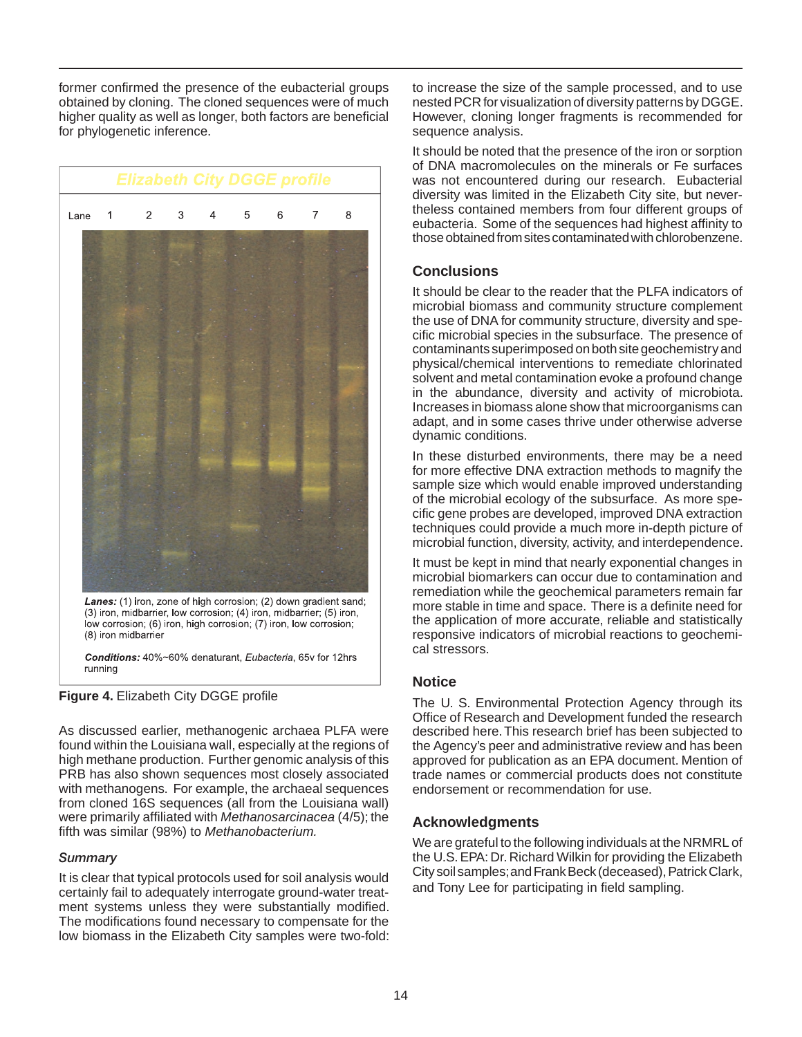obtained by cloning. The cloned sequences were of much former confirmed the presence of the eubacterial groups higher quality as well as longer, both factors are beneficial for phylogenetic inference.



Lanes: (1) iron, zone of high corrosion; (2) down gradient sand; (3) iron, midbarrier, low corrosion; (4) iron, midbarrier; (5) iron, low corrosion; (6) iron, high corrosion, (7) iron, low corrosion, (8) iron midbarrier

Conditions: 40%~60% denaturant, Eubacteria, 65v for 12hrs running



 fifth was similar (98%) to *Methanobacterium.* As discussed earlier, methanogenic archaea PLFA were found within the Louisiana wall, especially at the regions of high methane production. Further genomic analysis of this PRB has also shown sequences most closely associated with methanogens. For example, the archaeal sequences from cloned 16S sequences (all from the Louisiana wall) were primarily affiliated with *Methanosarcinacea* (4/5); the

#### *Summary*

It is clear that typical protocols used for soil analysis would certainly fail to adequately interrogate ground-water treatment systems unless they were substantially modified. The modifications found necessary to compensate for the low biomass in the Elizabeth City samples were two-fold: to increase the size of the sample processed, and to use nested PCR for visualization of diversity patterns by DGGE. However, cloning longer fragments is recommended for sequence analysis.

It should be noted that the presence of the iron or sorption of DNA macromolecules on the minerals or Fe surfaces was not encountered during our research. Eubacterial diversity was limited in the Elizabeth City site, but nevertheless contained members from four different groups of eubacteria. Some of the sequences had highest affinity to those obtained from sites contaminated with chlorobenzene.

## **Conclusions**

 cific microbial species in the subsurface. The presence of It should be clear to the reader that the PLFA indicators of microbial biomass and community structure complement the use of DNA for community structure, diversity and specontaminants superimposed on both site geochemistry and physical/chemical interventions to remediate chlorinated solvent and metal contamination evoke a profound change in the abundance, diversity and activity of microbiota. Increases in biomass alone show that microorganisms can adapt, and in some cases thrive under otherwise adverse dynamic conditions.

In these disturbed environments, there may be a need for more effective DNA extraction methods to magnify the sample size which would enable improved understanding of the microbial ecology of the subsurface. As more specific gene probes are developed, improved DNA extraction techniques could provide a much more in-depth picture of microbial function, diversity, activity, and interdependence.

 more stable in time and space. There is a definite need for It must be kept in mind that nearly exponential changes in microbial biomarkers can occur due to contamination and remediation while the geochemical parameters remain far the application of more accurate, reliable and statistically responsive indicators of microbial reactions to geochemical stressors.

## **Notice**

The U. S. Environmental Protection Agency through its Office of Research and Development funded the research described here. This research brief has been subjected to the Agency's peer and administrative review and has been approved for publication as an EPA document. Mention of trade names or commercial products does not constitute endorsement or recommendation for use.

## **Acknowledgments**

We are grateful to the following individuals at the NRMRL of the U.S. EPA: Dr. Richard Wilkin for providing the Elizabeth City soil samples; and Frank Beck (deceased), Patrick Clark, and Tony Lee for participating in field sampling.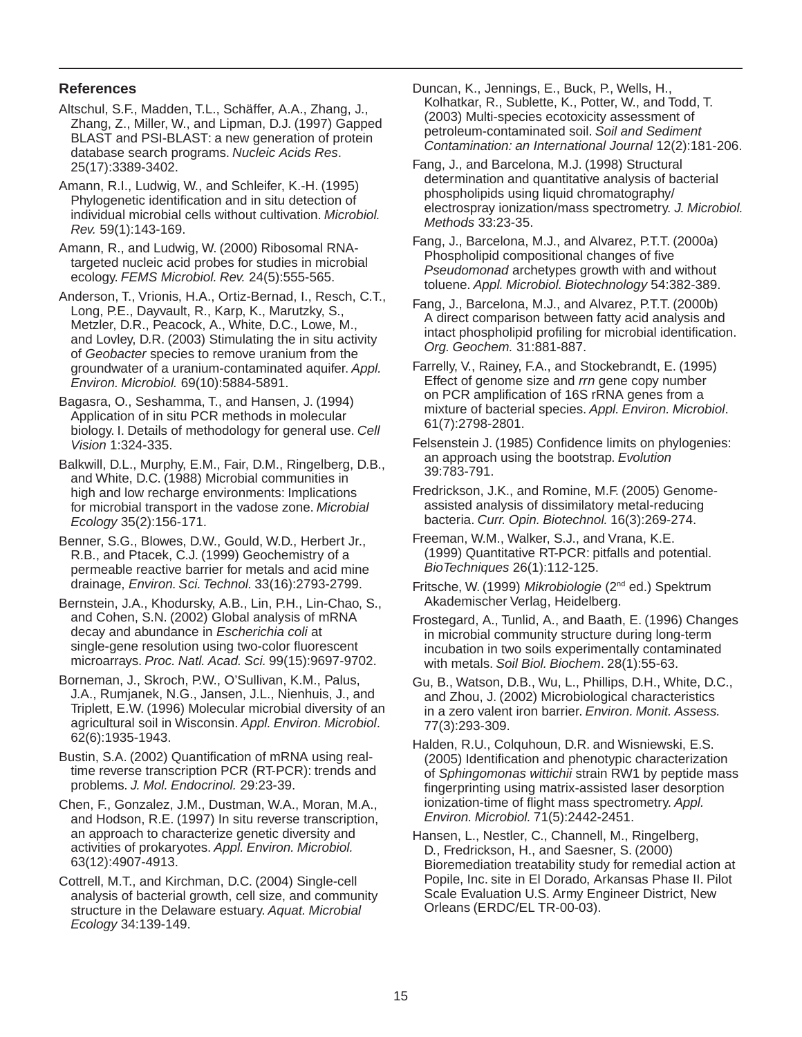#### **References**

- Altschul, S.F., Madden, T.L., Schäffer, A.A., Zhang, J., Zhang, Z., Miller, W., and Lipman, D.J. (1997) Gapped BLAST and PSI-BLAST: a new generation of protein database search programs. *Nucleic Acids Res*. 25(17):3389-3402.
- Amann, R.I., Ludwig, W., and Schleifer, K.-H. (1995) Phylogenetic identification and in situ detection of individual microbial cells without cultivation. *Microbiol. Rev.* 59(1):143-169.

Amann, R., and Ludwig, W. (2000) Ribosomal RNAtargeted nucleic acid probes for studies in microbial ecology. *FEMS Microbiol. Rev.* 24(5):555-565.

Anderson, T., Vrionis, H.A., Ortiz-Bernad, I., Resch, C.T., Long, P.E., Dayvault, R., Karp, K., Marutzky, S., Metzler, D.R., Peacock, A., White, D.C., Lowe, M., and Lovley, D.R. (2003) Stimulating the in situ activity of *Geobacter* species to remove uranium from the groundwater of a uranium-contaminated aquifer. *Appl. Environ. Microbiol.* 69(10):5884-5891.

Bagasra, O., Seshamma, T., and Hansen, J. (1994) Application of in situ PCR methods in molecular biology. I. Details of methodology for general use. *Cell Vision* 1:324-335.

Ecology 35(2):156-171. Balkwill, D.L., Murphy, E.M., Fair, D.M., Ringelberg, D.B., and White, D.C. (1988) Microbial communities in high and low recharge environments: Implications for microbial transport in the vadose zone. *Microbial* 

*Ecology* 35(2):156-171. Benner, S.G., Blowes, D.W., Gould, W.D., Herbert Jr., R.B., and Ptacek, C.J. (1999) Geochemistry of a permeable reactive barrier for metals and acid mine drainage, *Environ. Sci. Technol.* 33(16):2793-2799.

Bernstein, J.A., Khodursky, A.B., Lin, P.H., Lin-Chao, S., and Cohen, S.N. (2002) Global analysis of mRNA decay and abundance in *Escherichia coli* at single-gene resolution using two-color fluorescent microarrays. *Proc. Natl. Acad. Sci.* 99(15):9697-9702.

Borneman, J., Skroch, P.W., O'Sullivan, K.M., Palus, J.A., Rumjanek, N.G., Jansen, J.L., Nienhuis, J., and Triplett, E.W. (1996) Molecular microbial diversity of an agricultural soil in Wisconsin. *Appl. Environ. Microbiol*. 62(6):1935-1943.

Bustin, S.A. (2002) Quantification of mRNA using realtime reverse transcription PCR (RT-PCR): trends and problems. *J. Mol. Endocrinol.* 29:23-39.

Chen, F., Gonzalez, J.M., Dustman, W.A., Moran, M.A., and Hodson, R.E. (1997) In situ reverse transcription, an approach to characterize genetic diversity and activities of prokaryotes. *Appl. Environ. Microbiol.*  63(12):4907-4913.

Cottrell, M.T., and Kirchman, D.C. (2004) Single-cell analysis of bacterial growth, cell size, and community structure in the Delaware estuary. *Aquat. Microbial Ecology* 34:139-149.

Duncan, K., Jennings, E., Buck, P., Wells, H., Kolhatkar, R., Sublette, K., Potter, W., and Todd, T. (2003) Multi-species ecotoxicity assessment of petroleum-contaminated soil. *Soil and Sediment Contamination: an International Journal* 12(2):181-206.

Fang, J., and Barcelona, M.J. (1998) Structural determination and quantitative analysis of bacterial phospholipids using liquid chromatography/ electrospray ionization/mass spectrometry. *J. Microbiol. Methods* 33:23-35.

Fang, J., Barcelona, M.J., and Alvarez, P.T.T. (2000a) Phospholipid compositional changes of five *Pseudomonad* archetypes growth with and without toluene. *Appl. Microbiol. Biotechnology* 54:382-389.

Fang, J., Barcelona, M.J., and Alvarez, P.T.T. (2000b) A direct comparison between fatty acid analysis and intact phospholipid profiling for microbial identification. *Org. Geochem.* 31:881-887.

Farrelly, V., Rainey, F.A., and Stockebrandt, E. (1995) Effect of genome size and *rrn* gene copy number on PCR amplification of 16S rRNA genes from a mixture of bacterial species. *Appl. Environ. Microbiol*. 61(7):2798-2801.

 an approach using the bootstrap. *Evolution*  Felsenstein J. (1985) Confidence limits on phylogenies: 39:783-791.

Fredrickson, J.K., and Romine, M.F. (2005) Genomeassisted analysis of dissimilatory metal-reducing bacteria. *Curr. Opin. Biotechnol.* 16(3):269-274.

Freeman, W.M., Walker, S.J., and Vrana, K.E. (1999) Quantitative RT-PCR: pitfalls and potential. *BioTechniques* 26(1):112-125.

Fritsche, W. (1999) *Mikrobiologie* (2nd ed.) Spektrum Akademischer Verlag, Heidelberg.

Frostegard, A., Tunlid, A., and Baath, E. (1996) Changes in microbial community structure during long-term incubation in two soils experimentally contaminated with metals. *Soil Biol. Biochem*. 28(1):55-63.

Gu, B., Watson, D.B., Wu, L., Phillips, D.H., White, D.C., and Zhou, J. (2002) Microbiological characteristics in a zero valent iron barrier. *Environ. Monit. Assess.*  77(3):293-309.

Halden, R.U., Colquhoun, D.R. and Wisniewski, E.S. (2005) Identification and phenotypic characterization of *Sphingomonas wittichii* strain RW1 by peptide mass fingerprinting using matrix-assisted laser desorption ionization-time of flight mass spectrometry. *Appl. Environ. Microbiol.* 71(5):2442-2451.

Hansen, L., Nestler, C., Channell, M., Ringelberg, D., Fredrickson, H., and Saesner, S. (2000) Bioremediation treatability study for remedial action at Popile, Inc. site in El Dorado, Arkansas Phase II. Pilot Scale Evaluation U.S. Army Engineer District, New Orleans (ERDC/EL TR-00-03).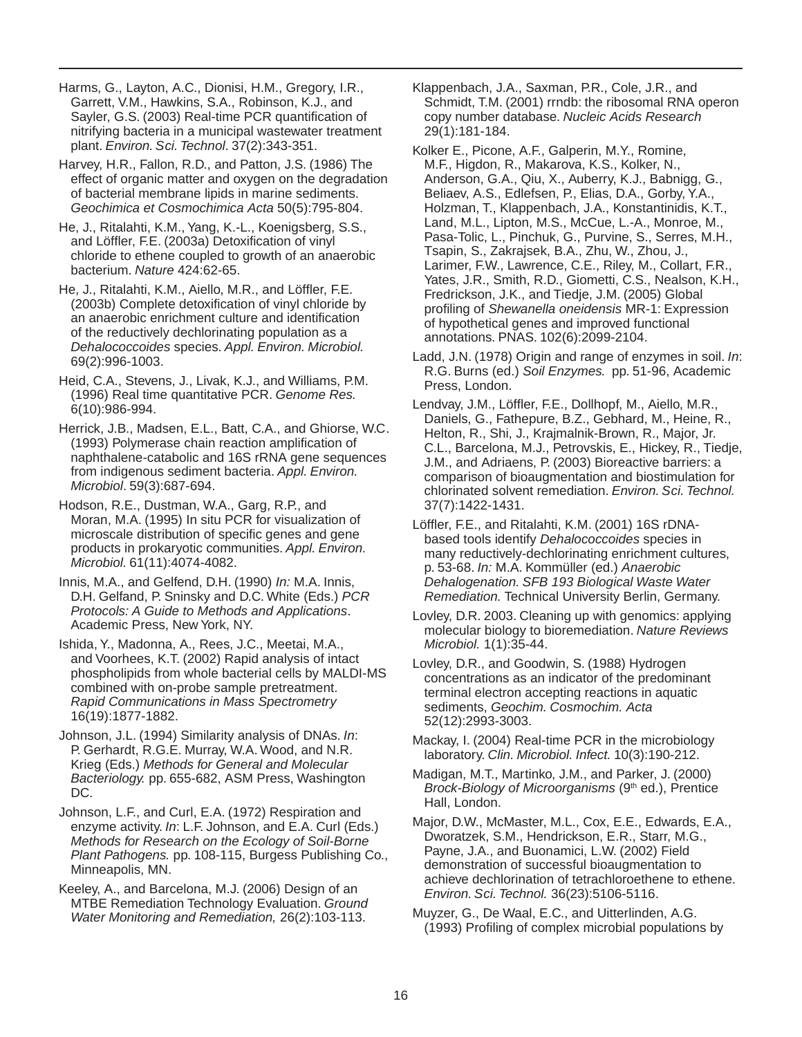Harms, G., Layton, A.C., Dionisi, H.M., Gregory, I.R., Garrett, V.M., Hawkins, S.A., Robinson, K.J., and Sayler, G.S. (2003) Real-time PCR quantification of nitrifying bacteria in a municipal wastewater treatment plant. *Environ. Sci. Technol*. 37(2):343-351.

Harvey, H.R., Fallon, R.D., and Patton, J.S. (1986) The effect of organic matter and oxygen on the degradation of bacterial membrane lipids in marine sediments. *Geochimica et Cosmochimica Acta* 50(5):795-804.

He, J., Ritalahti, K.M., Yang, K.-L., Koenigsberg, S.S., and Löffler, F.E. (2003a) Detoxification of vinyl chloride to ethene coupled to growth of an anaerobic bacterium. *Nature* 424:62-65.

He, J., Ritalahti, K.M., Aiello, M.R., and Löffler, F.E. (2003b) Complete detoxification of vinyl chloride by an anaerobic enrichment culture and identification of the reductively dechlorinating population as a *Dehalococcoides* species. *Appl. Environ. Microbiol.*  69(2):996-1003.

Heid, C.A., Stevens, J., Livak, K.J., and Williams, P.M. (1996) Real time quantitative PCR. *Genome Res.*  6(10):986-994.

Herrick, J.B., Madsen, E.L., Batt, C.A., and Ghiorse, W.C. (1993) Polymerase chain reaction amplification of naphthalene-catabolic and 16S rRNA gene sequences from indigenous sediment bacteria. *Appl. Environ. Microbiol*. 59(3):687-694.

Hodson, R.E., Dustman, W.A., Garg, R.P., and Moran, M.A. (1995) In situ PCR for visualization of microscale distribution of specific genes and gene products in prokaryotic communities. *Appl. Environ. Microbiol.* 61(11):4074-4082.

Innis, M.A., and Gelfend, D.H. (1990) *In:* M.A. Innis, D.H. Gelfand, P. Sninsky and D.C. White (Eds.) *PCR Protocols: A Guide to Methods and Applications*. Academic Press, New York, NY.

Ishida, Y., Madonna, A., Rees, J.C., Meetai, M.A., and Voorhees, K.T. (2002) Rapid analysis of intact phospholipids from whole bacterial cells by MALDI-MS combined with on-probe sample pretreatment. *Rapid Communications in Mass Spectrometry*  16(19):1877-1882.

Johnson, J.L. (1994) Similarity analysis of DNAs. *In*: P. Gerhardt, R.G.E. Murray, W.A. Wood, and N.R. Krieg (Eds.) *Methods for General and Molecular Bacteriology.* pp. 655-682, ASM Press, Washington DC.

Johnson, L.F., and Curl, E.A. (1972) Respiration and enzyme activity. *In*: L.F. Johnson, and E.A. Curl (Eds.) *Methods for Research on the Ecology of Soil-Borne Plant Pathogens.* pp. 108-115, Burgess Publishing Co., Minneapolis, MN.

Keeley, A., and Barcelona, M.J. (2006) Design of an MTBE Remediation Technology Evaluation. *Ground Water Monitoring and Remediation,* 26(2):103-113.

Klappenbach, J.A., Saxman, P.R., Cole, J.R., and Schmidt, T.M. (2001) rrndb: the ribosomal RNA operon copy number database. *Nucleic Acids Research*  29(1):181-184.

Kolker E., Picone, A.F., Galperin, M.Y., Romine, M.F., Higdon, R., Makarova, K.S., Kolker, N., Anderson, G.A., Qiu, X., Auberry, K.J., Babnigg, G., Beliaev, A.S., Edlefsen, P., Elias, D.A., Gorby, Y.A., Holzman, T., Klappenbach, J.A., Konstantinidis, K.T., Land, M.L., Lipton, M.S., McCue, L.-A., Monroe, M., Pasa-Tolic, L., Pinchuk, G., Purvine, S., Serres, M.H., Tsapin, S., Zakrajsek, B.A., Zhu, W., Zhou, J., Larimer, F.W., Lawrence, C.E., Riley, M., Collart, F.R., Yates, J.R., Smith, R.D., Giometti, C.S., Nealson, K.H., Fredrickson, J.K., and Tiedje, J.M. (2005) Global profiling of *Shewanella oneidensis* MR-1: Expression of hypothetical genes and improved functional annotations. PNAS. 102(6):2099-2104.

 R.G. Burns (ed.) *Soil Enzymes.* pp. 51-96, Academic Ladd, J.N. (1978) Origin and range of enzymes in soil. *In*: Press, London.

Lendvay, J.M., Löffler, F.E., Dollhopf, M., Aiello, M.R., Daniels, G., Fathepure, B.Z., Gebhard, M., Heine, R., Helton, R., Shi, J., Krajmalnik-Brown, R., Major, Jr. C.L., Barcelona, M.J., Petrovskis, E., Hickey, R., Tiedje, J.M., and Adriaens, P. (2003) Bioreactive barriers: a comparison of bioaugmentation and biostimulation for chlorinated solvent remediation. *Environ. Sci. Technol.*  37(7):1422-1431.

Löffler, F.E., and Ritalahti, K.M. (2001) 16S rDNAbased tools identify *Dehalococcoides* species in many reductively-dechlorinating enrichment cultures, p. 53-68. *In:* M.A. Kommüller (ed.) *Anaerobic Dehalogenation. SFB 193 Biological Waste Water Remediation.* Technical University Berlin, Germany.

Lovley, D.R. 2003. Cleaning up with genomics: applying molecular biology to bioremediation. *Nature Reviews Microbiol.* 1(1):35-44.

 sediments, *Geochim. Cosmochim. Acta*  Lovley, D.R., and Goodwin, S. (1988) Hydrogen concentrations as an indicator of the predominant terminal electron accepting reactions in aquatic 52(12):2993-3003.

Mackay, I. (2004) Real-time PCR in the microbiology laboratory. *Clin. Microbiol. Infect.* 10(3):190-212.

Madigan, M.T., Martinko, J.M., and Parker, J. (2000) *Brock-Biology of Microorganisms* (9<sup>th</sup> ed.), Prentice Hall, London.

Major, D.W., McMaster, M.L., Cox, E.E., Edwards, E.A., Dworatzek, S.M., Hendrickson, E.R., Starr, M.G., Payne, J.A., and Buonamici, L.W. (2002) Field demonstration of successful bioaugmentation to achieve dechlorination of tetrachloroethene to ethene. *Environ. Sci. Technol.* 36(23):5106-5116.

Muyzer, G., De Waal, E.C., and Uitterlinden, A.G. (1993) Profiling of complex microbial populations by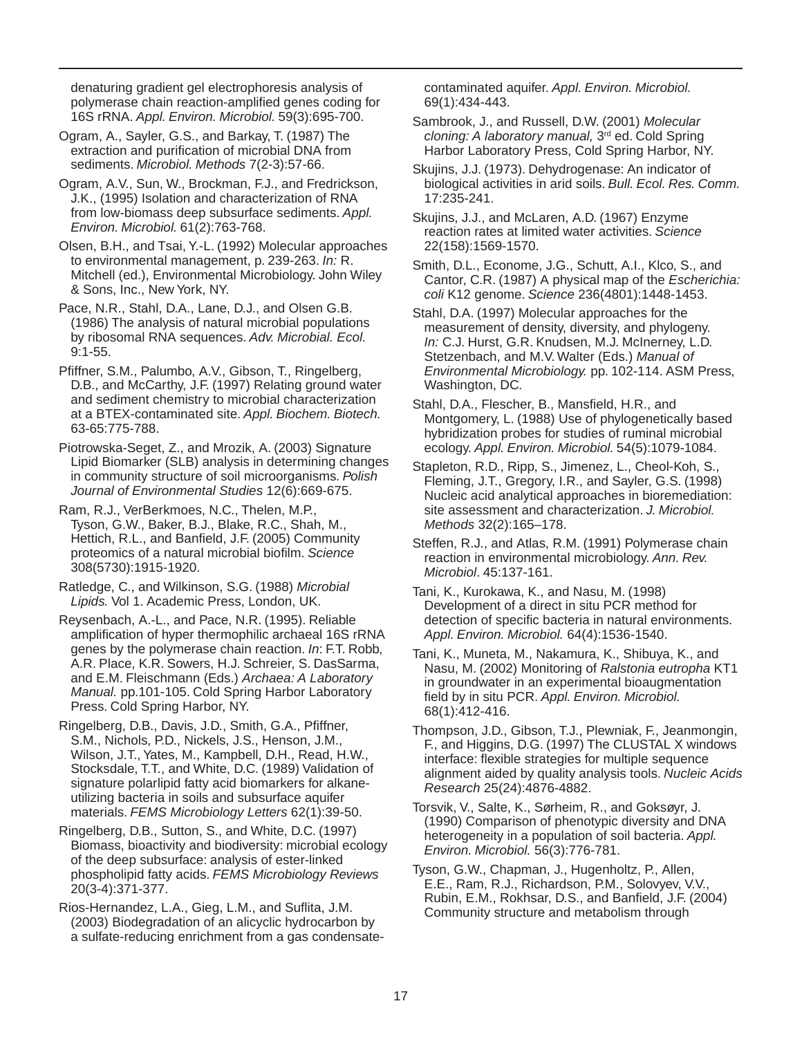denaturing gradient gel electrophoresis analysis of polymerase chain reaction-amplified genes coding for 16S rRNA. *Appl. Environ. Microbiol.* 59(3):695-700.

Ogram, A., Sayler, G.S., and Barkay, T. (1987) The extraction and purification of microbial DNA from sediments. *Microbiol. Methods* 7(2-3):57-66.

Ogram, A.V., Sun, W., Brockman, F.J., and Fredrickson, J.K., (1995) Isolation and characterization of RNA from low-biomass deep subsurface sediments. *Appl. Environ. Microbiol.* 61(2):763-768.

Olsen, B.H., and Tsai, Y.-L. (1992) Molecular approaches to environmental management, p. 239-263. *In:* R. Mitchell (ed.), Environmental Microbiology. John Wiley & Sons, Inc., New York, NY.

 by ribosomal RNA sequences. *Adv. Microbial. Ecol.*  Pace, N.R., Stahl, D.A., Lane, D.J., and Olsen G.B. (1986) The analysis of natural microbial populations 9:1-55.

Pfiffner, S.M., Palumbo, A.V., Gibson, T., Ringelberg, D.B., and McCarthy, J.F. (1997) Relating ground water and sediment chemistry to microbial characterization at a BTEX-contaminated site. *Appl. Biochem. Biotech.*  63-65:775-788.

Piotrowska-Seget, Z., and Mrozik, A. (2003) Signature Lipid Biomarker (SLB) analysis in determining changes in community structure of soil microorganisms. *Polish Journal of Environmental Studies* 12(6):669-675.

 proteomics of a natural microbial biofilm. *Science*  Ram, R.J., VerBerkmoes, N.C., Thelen, M.P., Tyson, G.W., Baker, B.J., Blake, R.C., Shah, M., Hettich, R.L., and Banfield, J.F. (2005) Community 308(5730):1915-1920.

Ratledge, C., and Wilkinson, S.G. (1988) *Microbial Lipids.* Vol 1. Academic Press, London, UK.

Reysenbach, A.-L., and Pace, N.R. (1995). Reliable amplification of hyper thermophilic archaeal 16S rRNA genes by the polymerase chain reaction. *In*: F.T. Robb, A.R. Place, K.R. Sowers, H.J. Schreier, S. DasSarma, and E.M. Fleischmann (Eds.) *Archaea: A Laboratory Manual.* pp.101-105. Cold Spring Harbor Laboratory Press. Cold Spring Harbor, NY.

Ringelberg, D.B., Davis, J.D., Smith, G.A., Pfiffner, S.M., Nichols, P.D., Nickels, J.S., Henson, J.M., Wilson, J.T., Yates, M., Kampbell, D.H., Read, H.W., Stocksdale, T.T., and White, D.C. (1989) Validation of signature polarlipid fatty acid biomarkers for alkaneutilizing bacteria in soils and subsurface aquifer materials. *FEMS Microbiology Letters* 62(1):39-50.

Ringelberg, D.B., Sutton, S., and White, D.C. (1997) Biomass, bioactivity and biodiversity: microbial ecology of the deep subsurface: analysis of ester-linked phospholipid fatty acids. *FEMS Microbiology Reviews*  20(3-4):371-377.

Rios-Hernandez, L.A., Gieg, L.M., and Suflita, J.M. (2003) Biodegradation of an alicyclic hydrocarbon by a sulfate-reducing enrichment from a gas condensatecontaminated aquifer. *Appl. Environ. Microbiol.*  69(1):434-443.

Sambrook, J., and Russell, D.W. (2001) *Molecular cloning: A laboratory manual,* 3rd ed. Cold Spring Harbor Laboratory Press, Cold Spring Harbor, NY.

Skujins, J.J. (1973). Dehydrogenase: An indicator of biological activities in arid soils. *Bull. Ecol. Res. Comm.*  17:235-241.

 reaction rates at limited water activities. *Science*  Skujins, J.J., and McLaren, A.D. (1967) Enzyme 22(158):1569-1570.

Smith, D.L., Econome, J.G., Schutt, A.I., Klco, S., and Cantor, C.R. (1987) A physical map of the *Escherichia: coli* K12 genome. *Science* 236(4801):1448-1453.

Stahl, D.A. (1997) Molecular approaches for the measurement of density, diversity, and phylogeny. *In:* C.J. Hurst, G.R. Knudsen, M.J. McInerney, L.D. Stetzenbach, and M.V. Walter (Eds.) *Manual of Environmental Microbiology.* pp. 102-114. ASM Press, Washington, DC.

Stahl, D.A., Flescher, B., Mansfield, H.R., and Montgomery, L. (1988) Use of phylogenetically based hybridization probes for studies of ruminal microbial ecology. *Appl. Environ. Microbiol.* 54(5):1079-1084.

Stapleton, R.D., Ripp, S., Jimenez, L., Cheol-Koh, S., Fleming, J.T., Gregory, I.R., and Sayler, G.S. (1998) Nucleic acid analytical approaches in bioremediation: site assessment and characterization. *J. Microbiol. Methods* 32(2):165–178.

Steffen, R.J., and Atlas, R.M. (1991) Polymerase chain reaction in environmental microbiology. *Ann. Rev. Microbiol*. 45:137-161.

Tani, K., Kurokawa, K., and Nasu, M. (1998) Development of a direct in situ PCR method for detection of specific bacteria in natural environments. *Appl. Environ. Microbiol.* 64(4):1536-1540.

Tani, K., Muneta, M., Nakamura, K., Shibuya, K., and Nasu, M. (2002) Monitoring of *Ralstonia eutropha* KT1 in groundwater in an experimental bioaugmentation field by in situ PCR. *Appl. Environ. Microbiol.*  68(1):412-416.

Thompson, J.D., Gibson, T.J., Plewniak, F., Jeanmongin, F., and Higgins, D.G. (1997) The CLUSTAL X windows interface: flexible strategies for multiple sequence alignment aided by quality analysis tools. *Nucleic Acids Research* 25(24):4876-4882.

Torsvik, V., Salte, K., Sørheim, R., and Goksøyr, J. (1990) Comparison of phenotypic diversity and DNA heterogeneity in a population of soil bacteria. *Appl. Environ. Microbiol.* 56(3):776-781.

Tyson, G.W., Chapman, J., Hugenholtz, P., Allen, E.E., Ram, R.J., Richardson, P.M., Solovyev, V.V., Rubin, E.M., Rokhsar, D.S., and Banfield, J.F. (2004) Community structure and metabolism through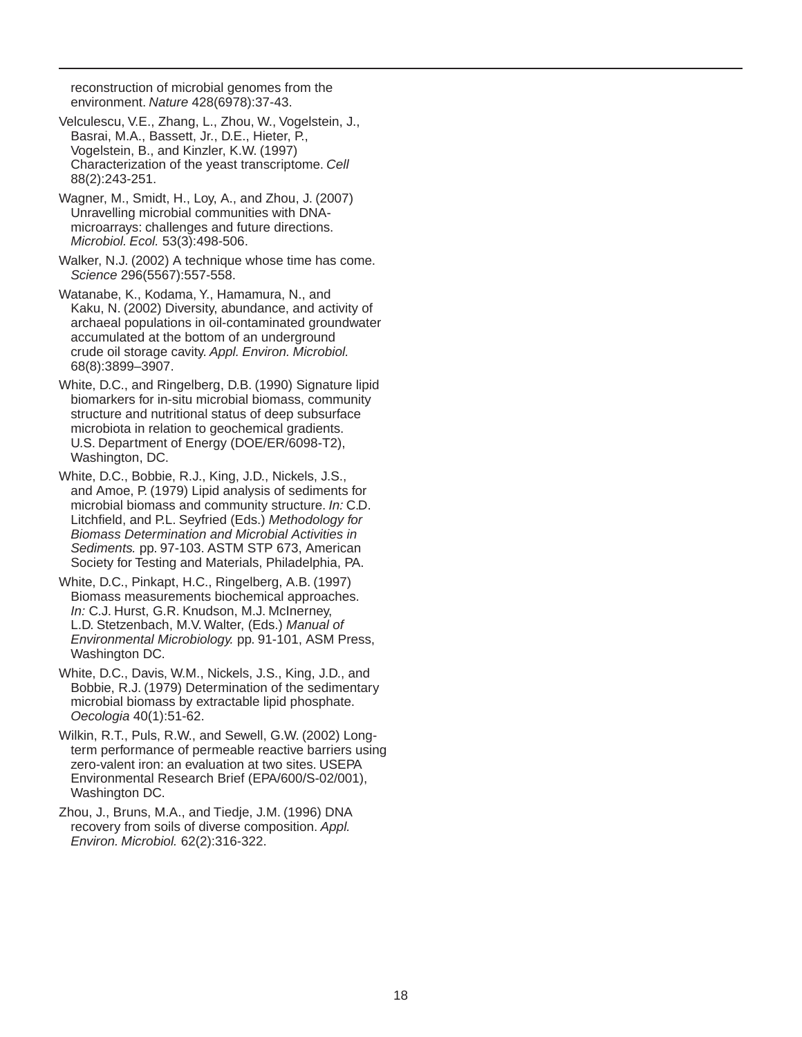reconstruction of microbial genomes from the environment. *Nature* 428(6978):37-43.

- Characterization of the yeast transcriptome. *Cell*  Velculescu, V.E., Zhang, L., Zhou, W., Vogelstein, J., Basrai, M.A., Bassett, Jr., D.E., Hieter, P., Vogelstein, B., and Kinzler, K.W. (1997) 88(2):243-251.
- Wagner, M., Smidt, H., Loy, A., and Zhou, J. (2007) Unravelling microbial communities with DNAmicroarrays: challenges and future directions. *Microbiol. Ecol.* 53(3):498-506.
- Walker, N.J. (2002) A technique whose time has come. *Science* 296(5567):557-558.
- Watanabe, K., Kodama, Y., Hamamura, N., and Kaku, N. (2002) Diversity, abundance, and activity of archaeal populations in oil-contaminated groundwater accumulated at the bottom of an underground crude oil storage cavity. *Appl. Environ. Microbiol.*  68(8):3899–3907.
- White, D.C., and Ringelberg, D.B. (1990) Signature lipid biomarkers for in-situ microbial biomass, community structure and nutritional status of deep subsurface microbiota in relation to geochemical gradients. U.S. Department of Energy (DOE/ER/6098-T2), Washington, DC.
- White, D.C., Bobbie, R.J., King, J.D., Nickels, J.S., and Amoe, P. (1979) Lipid analysis of sediments for microbial biomass and community structure. *In:* C.D. Litchfield, and P.L. Seyfried (Eds.) *Methodology for Biomass Determination and Microbial Activities in Sediments.* pp. 97-103. ASTM STP 673, American Society for Testing and Materials, Philadelphia, PA.
- White, D.C., Pinkapt, H.C., Ringelberg, A.B. (1997) Biomass measurements biochemical approaches. *In:* C.J. Hurst, G.R. Knudson, M.J. McInerney, L.D. Stetzenbach, M.V. Walter, (Eds.) *Manual of Environmental Microbiology.* pp. 91-101, ASM Press, Washington DC.
- White, D.C., Davis, W.M., Nickels, J.S., King, J.D., and Bobbie, R.J. (1979) Determination of the sedimentary microbial biomass by extractable lipid phosphate. *Oecologia* 40(1):51-62.
- Wilkin, R.T., Puls, R.W., and Sewell, G.W. (2002) Longterm performance of permeable reactive barriers using zero-valent iron: an evaluation at two sites. USEPA Environmental Research Brief (EPA/600/S-02/001), Washington DC.
- Zhou, J., Bruns, M.A., and Tiedje, J.M. (1996) DNA recovery from soils of diverse composition. *Appl. Environ. Microbiol.* 62(2):316-322.